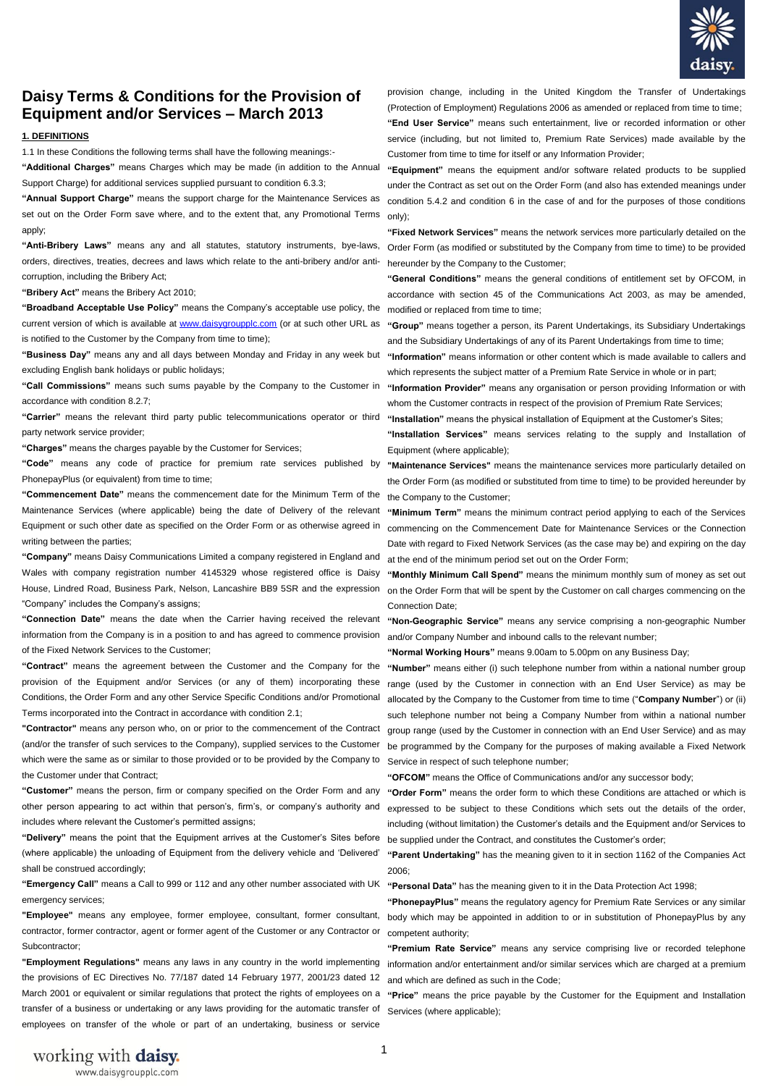

# **Daisy Terms & Conditions for the Provision of Equipment and/or Services – March 2013**

### **1. DEFINITIONS**

1.1 In these Conditions the following terms shall have the following meanings:-

**"Additional Charges"** means Charges which may be made (in addition to the Annual Support Charge) for additional services supplied pursuant to condition 6.3.3;

**"Annual Support Charge"** means the support charge for the Maintenance Services as set out on the Order Form save where, and to the extent that, any Promotional Terms apply;

**"Anti-Bribery Laws"** means any and all statutes, statutory instruments, bye-laws, orders, directives, treaties, decrees and laws which relate to the anti-bribery and/or anticorruption, including the Bribery Act;

**"Bribery Act"** means the Bribery Act 2010;

**"Broadband Acceptable Use Policy"** means the Company's acceptable use policy, the modified or replaced from time to time; current version of which is available a[t www.daisygroupplc.com](http://www.daisygroupplc.com/) (or at such other URL as is notified to the Customer by the Company from time to time);

**"Business Day"** means any and all days between Monday and Friday in any week but **"Information"** means information or other content which is made available to callers and excluding English bank holidays or public holidays;

**"Call Commissions"** means such sums payable by the Company to the Customer in accordance with condition 8.2.7;

**"Carrier"** means the relevant third party public telecommunications operator or third party network service provider;

**"Charges"** means the charges payable by the Customer for Services;

**"Code"** means any code of practice for premium rate services published by PhonepayPlus (or equivalent) from time to time:

**"Commencement Date"** means the commencement date for the Minimum Term of the the Company to the Customer; Maintenance Services (where applicable) being the date of Delivery of the relevant "Minimum Term" means the minimum contract period applying to each of the Services Equipment or such other date as specified on the Order Form or as otherwise agreed in writing between the parties:

**"Company"** means Daisy Communications Limited a company registered in England and Wales with company registration number 4145329 whose registered office is Daisy House, Lindred Road, Business Park, Nelson, Lancashire BB9 5SR and the expression "Company" includes the Company's assigns;

"Connection Date" means the date when the Carrier having received the relevant "Non-Geographic Service" means any service comprising a non-geographic Number information from the Company is in a position to and has agreed to commence provision of the Fixed Network Services to the Customer;

**"Contract"** means the agreement between the Customer and the Company for the provision of the Equipment and/or Services (or any of them) incorporating these Conditions, the Order Form and any other Service Specific Conditions and/or Promotional Terms incorporated into the Contract in accordance with condition 2.1;

**"Contractor"** means any person who, on or prior to the commencement of the Contract (and/or the transfer of such services to the Company), supplied services to the Customer which were the same as or similar to those provided or to be provided by the Company to the Customer under that Contract;

**"Customer"** means the person, firm or company specified on the Order Form and any other person appearing to act within that person's, firm's, or company's authority and includes where relevant the Customer's permitted assigns;

**"Delivery"** means the point that the Equipment arrives at the Customer's Sites before (where applicable) the unloading of Equipment from the delivery vehicle and 'Delivered' shall be construed accordingly;

**"Emergency Call"** means a Call to 999 or 112 and any other number associated with UK emergency services;

contractor, former contractor, agent or former agent of the Customer or any Contractor or competent authority; Subcontractor;

**"Employment Regulations"** means any laws in any country in the world implementing the provisions of EC Directives No. 77/187 dated 14 February 1977, 2001/23 dated 12 March 2001 or equivalent or similar regulations that protect the rights of employees on a "**Price**" means the price payable by the Customer for the Equipment and Installation transfer of a business or undertaking or any laws providing for the automatic transfer of employees on transfer of the whole or part of an undertaking, business or service

provision change, including in the United Kingdom the Transfer of Undertakings (Protection of Employment) Regulations 2006 as amended or replaced from time to time; **"End User Service"** means such entertainment, live or recorded information or other service (including, but not limited to, Premium Rate Services) made available by the Customer from time to time for itself or any Information Provider;

**"Equipment"** means the equipment and/or software related products to be supplied under the Contract as set out on the Order Form (and also has extended meanings under condition 5.4.2 and condition 6 in the case of and for the purposes of those conditions only);

**"Fixed Network Services"** means the network services more particularly detailed on the Order Form (as modified or substituted by the Company from time to time) to be provided hereunder by the Company to the Customer;

**"General Conditions"** means the general conditions of entitlement set by OFCOM, in accordance with section 45 of the Communications Act 2003, as may be amended,

**"Group"** means together a person, its Parent Undertakings, its Subsidiary Undertakings and the Subsidiary Undertakings of any of its Parent Undertakings from time to time;

which represents the subject matter of a Premium Rate Service in whole or in part:

**"Information Provider"** means any organisation or person providing Information or with whom the Customer contracts in respect of the provision of Premium Rate Services;

**"Installation"** means the physical installation of Equipment at the Customer's Sites;

**"Installation Services"** means services relating to the supply and Installation of Equipment (where applicable);

**"Maintenance Services"** means the maintenance services more particularly detailed on the Order Form (as modified or substituted from time to time) to be provided hereunder by

commencing on the Commencement Date for Maintenance Services or the Connection Date with regard to Fixed Network Services (as the case may be) and expiring on the day at the end of the minimum period set out on the Order Form;

**"Monthly Minimum Call Spend"** means the minimum monthly sum of money as set out on the Order Form that will be spent by the Customer on call charges commencing on the Connection Date;

and/or Company Number and inbound calls to the relevant number;

**"Normal Working Hours"** means 9.00am to 5.00pm on any Business Day;

**"Number"** means either (i) such telephone number from within a national number group range (used by the Customer in connection with an End User Service) as may be allocated by the Company to the Customer from time to time ("**Company Number**") or (ii) such telephone number not being a Company Number from within a national number group range (used by the Customer in connection with an End User Service) and as may be programmed by the Company for the purposes of making available a Fixed Network Service in respect of such telephone number;

**"OFCOM"** means the Office of Communications and/or any successor body;

**"Order Form"** means the order form to which these Conditions are attached or which is expressed to be subject to these Conditions which sets out the details of the order, including (without limitation) the Customer's details and the Equipment and/or Services to be supplied under the Contract, and constitutes the Customer's order;

**"Parent Undertaking"** has the meaning given to it in section 1162 of the Companies Act 2006;

**"Personal Data"** has the meaning given to it in the Data Protection Act 1998;

"Employee" means any employee, former employee, consultant, former consultant, body which may be appointed in addition to or in substitution of PhonepayPlus by any **"PhonepayPlus"** means the regulatory agency for Premium Rate Services or any similar

> **"Premium Rate Service"** means any service comprising live or recorded telephone information and/or entertainment and/or similar services which are charged at a premium and which are defined as such in the Code;

> Services (where applicable):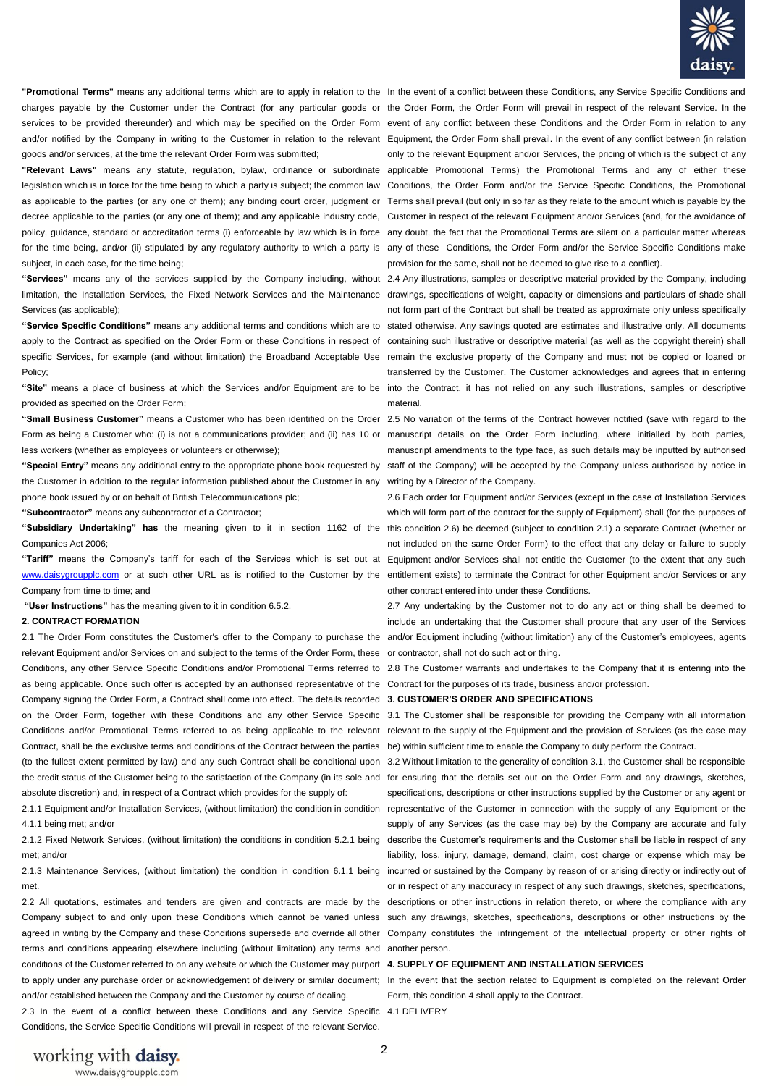

"Promotional Terms" means any additional terms which are to apply in relation to the In the event of a conflict between these Conditions, any Service Specific Conditions and goods and/or services, at the time the relevant Order Form was submitted;

subject, in each case, for the time being;

limitation, the Installation Services, the Fixed Network Services and the Maintenance drawings, specifications of weight, capacity or dimensions and particulars of shade shall Services (as applicable);

Policy;

**"Site"** means a place of business at which the Services and/or Equipment are to be into the Contract, it has not relied on any such illustrations, samples or descriptive provided as specified on the Order Form;

Form as being a Customer who: (i) is not a communications provider; and (ii) has 10 or manuscript details on the Order Form including, where initialled by both parties, less workers (whether as employees or volunteers or otherwise);

the Customer in addition to the regular information published about the Customer in any writing by a Director of the Company. phone book issued by or on behalf of British Telecommunications plc;

**"Subcontractor"** means any subcontractor of a Contractor;

Companies Act 2006;

**"Tariff"** means the Company's tariff for each of the Services which is set out at Equipment and/or Services shall not entitle the Customer (to the extent that any such [www.daisygroupplc.com](http://www.daisygroupplc.com/) or at such other URL as is notified to the Customer by the entitlement exists) to terminate the Contract for other Equipment and/or Services or any Company from time to time; and

**"User Instructions"** has the meaning given to it in condition 6.5.2.

#### **2. CONTRACT FORMATION**

relevant Equipment and/or Services on and subject to the terms of the Order Form, these or contractor, shall not do such act or thing. Conditions, any other Service Specific Conditions and/or Promotional Terms referred to 2.8 The Customer warrants and undertakes to the Company that it is entering into the as being applicable. Once such offer is accepted by an authorised representative of the Contract for the purposes of its trade, business and/or profession. Company signing the Order Form, a Contract shall come into effect. The details recorded **3. CUSTOMER'S ORDER AND SPECIFICATIONS** on the Order Form, together with these Conditions and any other Service Specific 3.1 The Customer shall be responsible for providing the Company with all information Conditions and/or Promotional Terms referred to as being applicable to the relevant Contract, shall be the exclusive terms and conditions of the Contract between the parties be) within sufficient time to enable the Company to duly perform the Contract. (to the fullest extent permitted by law) and any such Contract shall be conditional upon 3.2 Without limitation to the generality of condition 3.1, the Customer shall be responsible absolute discretion) and, in respect of a Contract which provides for the supply of:

4.1.1 being met; and/or

2.1.2 Fixed Network Services, (without limitation) the conditions in condition 5.2.1 being met; and/or

met.

terms and conditions appearing elsewhere including (without limitation) any terms and another person. conditions of the Customer referred to on any website or which the Customer may purport **4. SUPPLY OF EQUIPMENT AND INSTALLATION SERVICES**  to apply under any purchase order or acknowledgement of delivery or similar document; In the event that the section related to Equipment is completed on the relevant Order and/or established between the Company and the Customer by course of dealing.

2.3 In the event of a conflict between these Conditions and any Service Specific 4.1 DELIVERY Conditions, the Service Specific Conditions will prevail in respect of the relevant Service.

charges payable by the Customer under the Contract (for any particular goods or the Order Form, the Order Form will prevail in respect of the relevant Service. In the services to be provided thereunder) and which may be specified on the Order Form event of any conflict between these Conditions and the Order Form in relation to any and/or notified by the Company in writing to the Customer in relation to the relevant Equipment, the Order Form shall prevail. In the event of any conflict between (in relation "Relevant Laws" means any statute, regulation, bylaw, ordinance or subordinate applicable Promotional Terms) the Promotional Terms and any of either these legislation which is in force for the time being to which a party is subject; the common law Conditions, the Order Form and/or the Service Specific Conditions, the Promotional as applicable to the parties (or any one of them); any binding court order, judgment or Terms shall prevail (but only in so far as they relate to the amount which is payable by the decree applicable to the parties (or any one of them); and any applicable industry code, Customer in respect of the relevant Equipment and/or Services (and, for the avoidance of policy, guidance, standard or accreditation terms (i) enforceable by law which is in force any doubt, the fact that the Promotional Terms are silent on a particular matter whereas for the time being, and/or (ii) stipulated by any regulatory authority to which a party is any of these Conditions, the Order Form and/or the Service Specific Conditions make only to the relevant Equipment and/or Services, the pricing of which is the subject of any provision for the same, shall not be deemed to give rise to a conflict).

"Services" means any of the services supplied by the Company including, without 2.4 Any illustrations, samples or descriptive material provided by the Company, including "Service Specific Conditions" means any additional terms and conditions which are to stated otherwise. Any savings quoted are estimates and illustrative only. All documents apply to the Contract as specified on the Order Form or these Conditions in respect of containing such illustrative or descriptive material (as well as the copyright therein) shall specific Services, for example (and without limitation) the Broadband Acceptable Use remain the exclusive property of the Company and must not be copied or loaned or not form part of the Contract but shall be treated as approximate only unless specifically transferred by the Customer. The Customer acknowledges and agrees that in entering material.

"Small Business Customer" means a Customer who has been identified on the Order 2.5 No variation of the terms of the Contract however notified (save with regard to the "Special Entry" means any additional entry to the appropriate phone book requested by staff of the Company) will be accepted by the Company unless authorised by notice in manuscript amendments to the type face, as such details may be inputted by authorised

"Subsidiary Undertaking" has the meaning given to it in section 1162 of the this condition 2.6) be deemed (subject to condition 2.1) a separate Contract (whether or 2.6 Each order for Equipment and/or Services (except in the case of Installation Services which will form part of the contract for the supply of Equipment) shall (for the purposes of not included on the same Order Form) to the effect that any delay or failure to supply other contract entered into under these Conditions.

2.1 The Order Form constitutes the Customer's offer to the Company to purchase the and/or Equipment including (without limitation) any of the Customer's employees, agents 2.7 Any undertaking by the Customer not to do any act or thing shall be deemed to include an undertaking that the Customer shall procure that any user of the Services

relevant to the supply of the Equipment and the provision of Services (as the case may

the credit status of the Customer being to the satisfaction of the Company (in its sole and for ensuring that the details set out on the Order Form and any drawings, sketches, 2.1.1 Equipment and/or Installation Services, (without limitation) the condition in condition representative of the Customer in connection with the supply of any Equipment or the 2.1.3 Maintenance Services, (without limitation) the condition in condition 6.1.1 being incurred or sustained by the Company by reason of or arising directly or indirectly out of 2.2 All quotations, estimates and tenders are given and contracts are made by the descriptions or other instructions in relation thereto, or where the compliance with any Company subject to and only upon these Conditions which cannot be varied unless such any drawings, sketches, specifications, descriptions or other instructions by the agreed in writing by the Company and these Conditions supersede and override all other Company constitutes the infringement of the intellectual property or other rights of specifications, descriptions or other instructions supplied by the Customer or any agent or supply of any Services (as the case may be) by the Company are accurate and fully describe the Customer's requirements and the Customer shall be liable in respect of any liability, loss, injury, damage, demand, claim, cost charge or expense which may be or in respect of any inaccuracy in respect of any such drawings, sketches, specifications,

Form, this condition 4 shall apply to the Contract.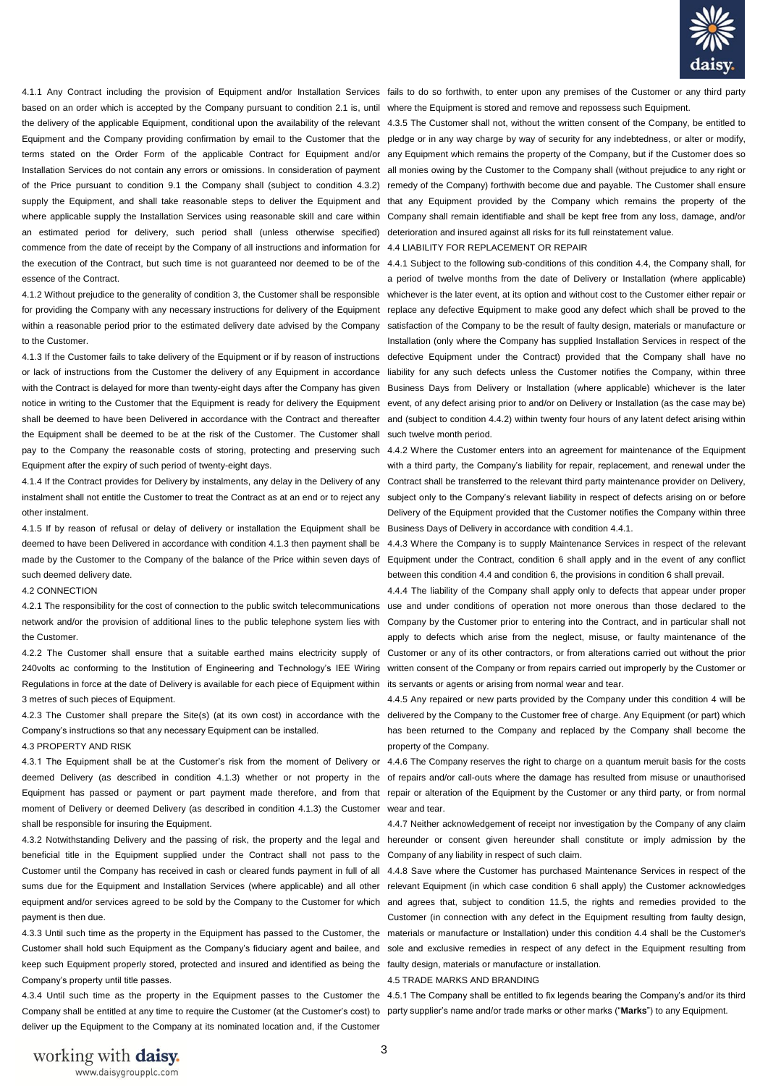

based on an order which is accepted by the Company pursuant to condition 2.1 is, until where the Equipment is stored and remove and repossess such Equipment. the delivery of the applicable Equipment, conditional upon the availability of the relevant 4.3.5 The Customer shall not, without the written consent of the Company, be entitled to Equipment and the Company providing confirmation by email to the Customer that the pledge or in any way charge by way of security for any indebtedness, or alter or modify, terms stated on the Order Form of the applicable Contract for Equipment and/or any Equipment which remains the property of the Company, but if the Customer does so Installation Services do not contain any errors or omissions. In consideration of payment all monies owing by the Customer to the Company shall (without prejudice to any right or of the Price pursuant to condition 9.1 the Company shall (subject to condition 4.3.2) remedy of the Company) forthwith become due and payable. The Customer shall ensure supply the Equipment, and shall take reasonable steps to deliver the Equipment and that any Equipment provided by the Company which remains the property of the where applicable supply the Installation Services using reasonable skill and care within Company shall remain identifiable and shall be kept free from any loss, damage, and/or an estimated period for delivery, such period shall (unless otherwise specified) deterioration and insured against all risks for its full reinstatement value. commence from the date of receipt by the Company of all instructions and information for 4.4 LIABILITY FOR REPLACEMENT OR REPAIR the execution of the Contract, but such time is not guaranteed nor deemed to be of the 4.4.1 Subject to the following sub-conditions of this condition 4.4, the Company shall, for essence of the Contract.

for providing the Company with any necessary instructions for delivery of the Equipment replace any defective Equipment to make good any defect which shall be proved to the within a reasonable period prior to the estimated delivery date advised by the Company satisfaction of the Company to be the result of faulty design, materials or manufacture or to the Customer.

4.1.3 If the Customer fails to take delivery of the Equipment or if by reason of instructions or lack of instructions from the Customer the delivery of any Equipment in accordance with the Contract is delayed for more than twenty-eight days after the Company has given Business Days from Delivery or Installation (where applicable) whichever is the later notice in writing to the Customer that the Equipment is ready for delivery the Equipment event, of any defect arising prior to and/or on Delivery or Installation (as the case may be) shall be deemed to have been Delivered in accordance with the Contract and thereafter the Equipment shall be deemed to be at the risk of the Customer. The Customer shall Equipment after the expiry of such period of twenty-eight days.

other instalment.

4.1.5 If by reason of refusal or delay of delivery or installation the Equipment shall be Business Days of Delivery in accordance with condition 4.4.1. deemed to have been Delivered in accordance with condition 4.1.3 then payment shall be 4.4.3 Where the Company is to supply Maintenance Services in respect of the relevant such deemed delivery date.

#### 4.2 CONNECTION

4.2.1 The responsibility for the cost of connection to the public switch telecommunications use and under conditions of operation not more onerous than those declared to the network and/or the provision of additional lines to the public telephone system lies with Company by the Customer prior to entering into the Contract, and in particular shall not the Customer.

Regulations in force at the date of Delivery is available for each piece of Equipment within its servants or agents or arising from normal wear and tear. 3 metres of such pieces of Equipment.

4.2.3 The Customer shall prepare the Site(s) (at its own cost) in accordance with the delivered by the Company to the Customer free of charge. Any Equipment (or part) which Company's instructions so that any necessary Equipment can be installed.

4.3 PROPERTY AND RISK

deemed Delivery (as described in condition 4.1.3) whether or not property in the of repairs and/or call-outs where the damage has resulted from misuse or unauthorised Equipment has passed or payment or part payment made therefore, and from that repair or alteration of the Equipment by the Customer or any third party, or from normal moment of Delivery or deemed Delivery (as described in condition 4.1.3) the Customer wear and tear. shall be responsible for insuring the Equipment.

beneficial title in the Equipment supplied under the Contract shall not pass to the Company of any liability in respect of such claim. Customer until the Company has received in cash or cleared funds payment in full of all 4.4.8 Save where the Customer has purchased Maintenance Services in respect of the sums due for the Equipment and Installation Services (where applicable) and all other relevant Equipment (in which case condition 6 shall apply) the Customer acknowledges equipment and/or services agreed to be sold by the Company to the Customer for which and agrees that, subject to condition 11.5, the rights and remedies provided to the payment is then due.

4.3.3 Until such time as the property in the Equipment has passed to the Customer, the materials or manufacture or Installation) under this condition 4.4 shall be the Customer's Customer shall hold such Equipment as the Company's fiduciary agent and bailee, and sole and exclusive remedies in respect of any defect in the Equipment resulting from keep such Equipment properly stored, protected and insured and identified as being the faulty design, materials or manufacture or installation. Company's property until title passes.

4.3.4 Until such time as the property in the Equipment passes to the Customer the 4.5.1 The Company shall be entitled to fix legends bearing the Company's and/or its third Company shall be entitled at any time to require the Customer (at the Customer's cost) to party supplier's name and/or trade marks or other marks ("Marks") to any Equipment. deliver up the Equipment to the Company at its nominated location and, if the Customer

4.1.1 Any Contract including the provision of Equipment and/or Installation Services fails to do so forthwith, to enter upon any premises of the Customer or any third party

4.1.2 Without prejudice to the generality of condition 3, the Customer shall be responsible whichever is the later event, at its option and without cost to the Customer either repair or a period of twelve months from the date of Delivery or Installation (where applicable) Installation (only where the Company has supplied Installation Services in respect of the defective Equipment under the Contract) provided that the Company shall have no liability for any such defects unless the Customer notifies the Company, within three and (subject to condition 4.4.2) within twenty four hours of any latent defect arising within such twelve month period.

pay to the Company the reasonable costs of storing, protecting and preserving such 4.4.2 Where the Customer enters into an agreement for maintenance of the Equipment 4.1.4 If the Contract provides for Delivery by instalments, any delay in the Delivery of any Contract shall be transferred to the relevant third party maintenance provider on Delivery, instalment shall not entitle the Customer to treat the Contract as at an end or to reject any subject only to the Company's relevant liability in respect of defects arising on or before with a third party, the Company's liability for repair, replacement, and renewal under the Delivery of the Equipment provided that the Customer notifies the Company within three

made by the Customer to the Company of the balance of the Price within seven days of Equipment under the Contract, condition 6 shall apply and in the event of any conflict between this condition 4.4 and condition 6, the provisions in condition 6 shall prevail.

4.2.2 The Customer shall ensure that a suitable earthed mains electricity supply of Customer or any of its other contractors, or from alterations carried out without the prior 240volts ac conforming to the Institution of Engineering and Technology's IEE Wiring written consent of the Company or from repairs carried out improperly by the Customer or 4.4.4 The liability of the Company shall apply only to defects that appear under proper apply to defects which arise from the neglect, misuse, or faulty maintenance of the

> 4.4.5 Any repaired or new parts provided by the Company under this condition 4 will be has been returned to the Company and replaced by the Company shall become the property of the Company.

4.3.1 The Equipment shall be at the Customer's risk from the moment of Delivery or 4.4.6 The Company reserves the right to charge on a quantum meruit basis for the costs

4.3.2 Notwithstanding Delivery and the passing of risk, the property and the legal and hereunder or consent given hereunder shall constitute or imply admission by the 4.4.7 Neither acknowledgement of receipt nor investigation by the Company of any claim

Customer (in connection with any defect in the Equipment resulting from faulty design,

4.5 TRADE MARKS AND BRANDING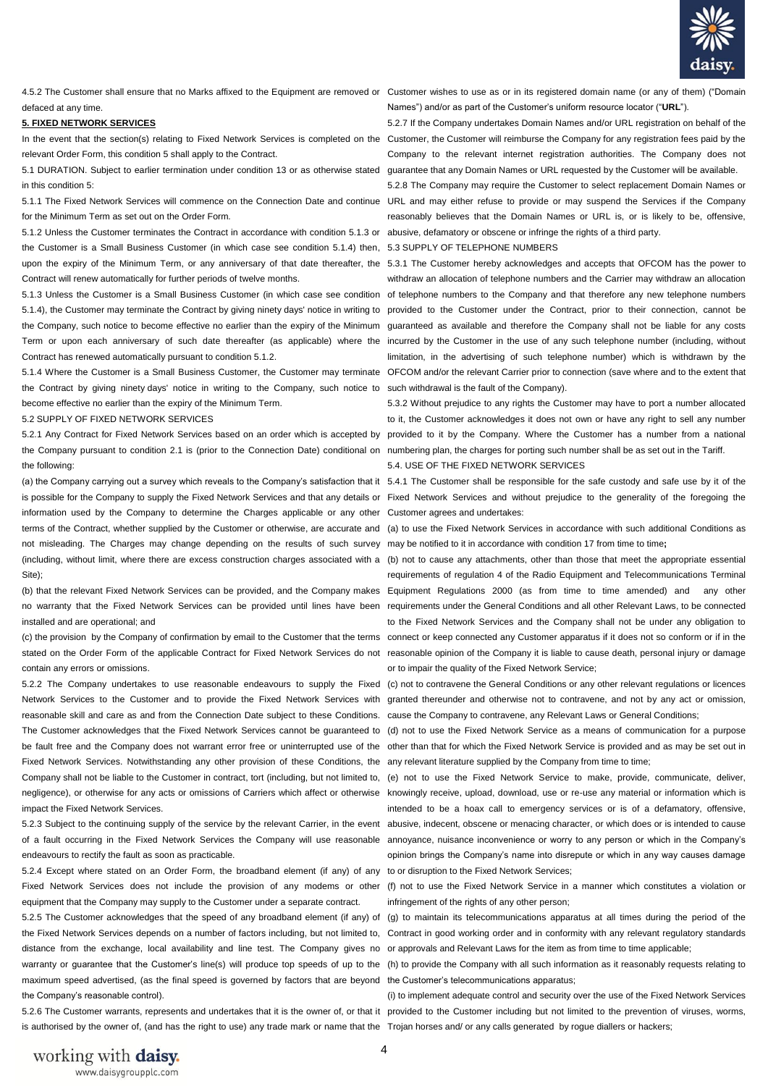

defaced at any time.

#### **5. FIXED NETWORK SERVICES**

relevant Order Form, this condition 5 shall apply to the Contract.

5.1 DURATION. Subject to earlier termination under condition 13 or as otherwise stated guarantee that any Domain Names or URL requested by the Customer will be available. in this condition 5:

5.1.1 The Fixed Network Services will commence on the Connection Date and continue URL and may either refuse to provide or may suspend the Services if the Company for the Minimum Term as set out on the Order Form*.* 

5.1.2 Unless the Customer terminates the Contract in accordance with condition 5.1.3 or abusive, defamatory or obscene or infringe the rights of a third party. the Customer is a Small Business Customer (in which case see condition 5.1.4) then, 5.3 SUPPLY OF TELEPHONE NUMBERS upon the expiry of the Minimum Term, or any anniversary of that date thereafter, the 5.3.1 The Customer hereby acknowledges and accepts that OFCOM has the power to Contract will renew automatically for further periods of twelve months.

5.1.4), the Customer may terminate the Contract by giving ninety days' notice in writing to provided to the Customer under the Contract, prior to their connection, cannot be the Company, such notice to become effective no earlier than the expiry of the Minimum Term or upon each anniversary of such date thereafter (as applicable) where the incurred by the Customer in the use of any such telephone number (including, without Contract has renewed automatically pursuant to condition 5.1.2.

5.1.4 Where the Customer is a Small Business Customer, the Customer may terminate OFCOM and/or the relevant Carrier prior to connection (save where and to the extent that the Contract by giving ninety days' notice in writing to the Company, such notice to such withdrawal is the fault of the Company). become effective no earlier than the expiry of the Minimum Term.

#### 5.2 SUPPLY OF FIXED NETWORK SERVICES

5.2.1 Any Contract for Fixed Network Services based on an order which is accepted by provided to it by the Company. Where the Customer has a number from a national the Company pursuant to condition 2.1 is (prior to the Connection Date) conditional on numbering plan, the charges for porting such number shall be as set out in the Tariff. the following:

information used by the Company to determine the Charges applicable or any other Customer agrees and undertakes: terms of the Contract, whether supplied by the Customer or otherwise, are accurate and (a) to use the Fixed Network Services in accordance with such additional Conditions as not misleading. The Charges may change depending on the results of such survey may be notified to it in accordance with condition 17 from time to time**;** (including, without limit, where there are excess construction charges associated with a (b) not to cause any attachments, other than those that meet the appropriate essential Site);

installed and are operational; and

contain any errors or omissions.

Network Services to the Customer and to provide the Fixed Network Services with granted thereunder and otherwise not to contravene, and not by any act or omission, reasonable skill and care as and from the Connection Date subject to these Conditions. cause the Company to contravene, any Relevant Laws or General Conditions; The Customer acknowledges that the Fixed Network Services cannot be guaranteed to (d) not to use the Fixed Network Service as a means of communication for a purpose be fault free and the Company does not warrant error free or uninterrupted use of the other than that for which the Fixed Network Service is provided and as may be set out in Fixed Network Services. Notwithstanding any other provision of these Conditions, the any relevant literature supplied by the Company from time to time; Company shall not be liable to the Customer in contract, tort (including, but not limited to, (e) not to use the Fixed Network Service to make, provide, communicate, deliver, impact the Fixed Network Services.

5.2.3 Subject to the continuing supply of the service by the relevant Carrier, in the event of a fault occurring in the Fixed Network Services the Company will use reasonable endeavours to rectify the fault as soon as practicable.

5.2.4 Except where stated on an Order Form, the broadband element (if any) of any to or disruption to the Fixed Network Services; Fixed Network Services does not include the provision of any modems or other (f) not to use the Fixed Network Service in a manner which constitutes a violation or equipment that the Company may supply to the Customer under a separate contract.

5.2.5 The Customer acknowledges that the speed of any broadband element (if any) of (g) to maintain its telecommunications apparatus at all times during the period of the distance from the exchange, local availability and line test. The Company gives no or approvals and Relevant Laws for the item as from time to time applicable; warranty or guarantee that the Customer's line(s) will produce top speeds of up to the (h) to provide the Company with all such information as it reasonably requests relating to maximum speed advertised, (as the final speed is governed by factors that are beyond the Customer's telecommunications apparatus; the Company's reasonable control).

is authorised by the owner of, (and has the right to use) any trade mark or name that the Trojan horses and/ or any calls generated by rogue diallers or hackers;

4.5.2 The Customer shall ensure that no Marks affixed to the Equipment are removed or Customer wishes to use as or in its registered domain name (or any of them) ("Domain Names") and/or as part of the Customer's uniform resource locator ("**URL**").

In the event that the section(s) relating to Fixed Network Services is completed on the Customer, the Customer will reimburse the Company for any registration fees paid by the 5.2.7 If the Company undertakes Domain Names and/or URL registration on behalf of the Company to the relevant internet registration authorities. The Company does not

> 5.2.8 The Company may require the Customer to select replacement Domain Names or reasonably believes that the Domain Names or URL is, or is likely to be, offensive,

5.1.3 Unless the Customer is a Small Business Customer (in which case see condition of telephone numbers to the Company and that therefore any new telephone numbers withdraw an allocation of telephone numbers and the Carrier may withdraw an allocation guaranteed as available and therefore the Company shall not be liable for any costs limitation, in the advertising of such telephone number) which is withdrawn by the

> 5.3.2 Without prejudice to any rights the Customer may have to port a number allocated to it, the Customer acknowledges it does not own or have any right to sell any number 5.4. USE OF THE FIXED NETWORK SERVICES

(a) the Company carrying out a survey which reveals to the Company's satisfaction that it 5.4.1 The Customer shall be responsible for the safe custody and safe use by it of the is possible for the Company to supply the Fixed Network Services and that any details or Fixed Network Services and without prejudice to the generality of the foregoing the

(b) that the relevant Fixed Network Services can be provided, and the Company makes Equipment Regulations 2000 (as from time to time amended) and any other no warranty that the Fixed Network Services can be provided until lines have been requirements under the General Conditions and all other Relevant Laws, to be connected (c) the provision by the Company of confirmation by email to the Customer that the terms connect or keep connected any Customer apparatus if it does not so conform or if in the stated on the Order Form of the applicable Contract for Fixed Network Services do not reasonable opinion of the Company it is liable to cause death, personal injury or damage requirements of regulation 4 of the Radio Equipment and Telecommunications Terminal to the Fixed Network Services and the Company shall not be under any obligation to or to impair the quality of the Fixed Network Service;

5.2.2 The Company undertakes to use reasonable endeavours to supply the Fixed (c) not to contravene the General Conditions or any other relevant regulations or licences

negligence), or otherwise for any acts or omissions of Carriers which affect or otherwise knowingly receive, upload, download, use or re-use any material or information which is intended to be a hoax call to emergency services or is of a defamatory, offensive, abusive, indecent, obscene or menacing character, or which does or is intended to cause annoyance, nuisance inconvenience or worry to any person or which in the Company's opinion brings the Company's name into disrepute or which in any way causes damage

infringement of the rights of any other person;

the Fixed Network Services depends on a number of factors including, but not limited to, Contract in good working order and in conformity with any relevant regulatory standards

5.2.6 The Customer warrants, represents and undertakes that it is the owner of, or that it provided to the Customer including but not limited to the prevention of viruses, worms, (i) to implement adequate control and security over the use of the Fixed Network Services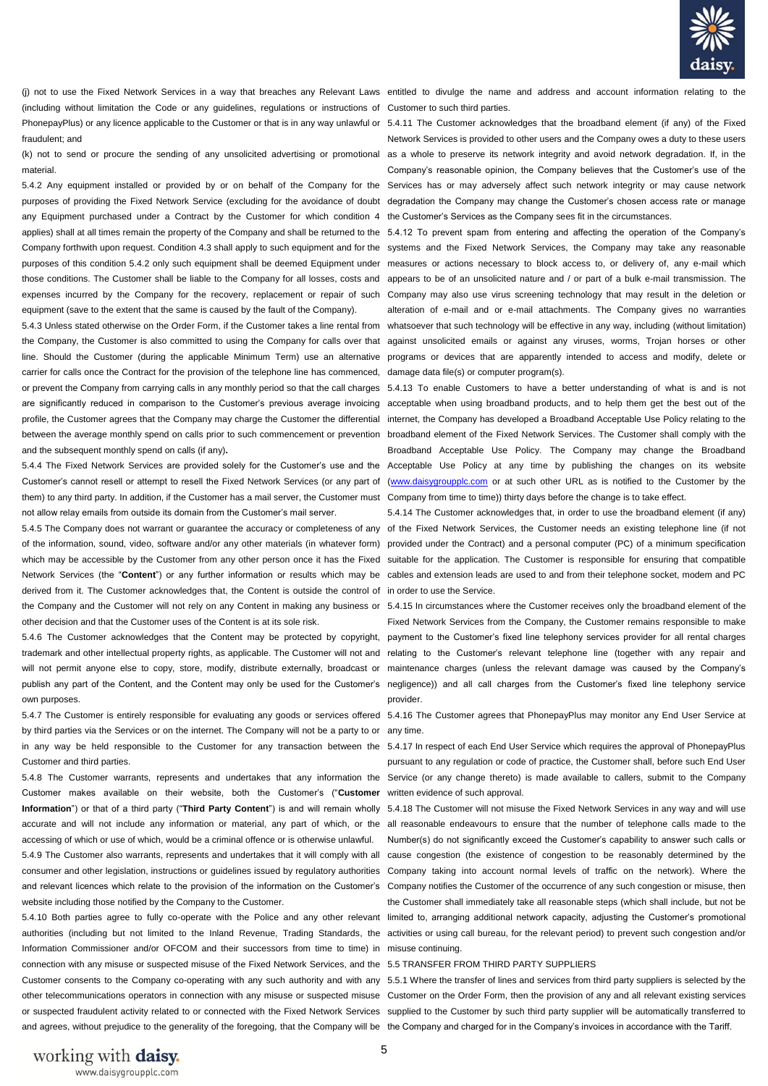

(including without limitation the Code or any guidelines, regulations or instructions of Customer to such third parties. PhonepayPlus) or any licence applicable to the Customer or that is in any way unlawful or 5.4.11 The Customer acknowledges that the broadband element (if any) of the Fixed fraudulent; and

(k) not to send or procure the sending of any unsolicited advertising or promotional as a whole to preserve its network integrity and avoid network degradation. If, in the material.

any Equipment purchased under a Contract by the Customer for which condition 4 the Customer's Services as the Company sees fit in the circumstances. applies) shall at all times remain the property of the Company and shall be returned to the 5.4.12 To prevent spam from entering and affecting the operation of the Company's Company forthwith upon request. Condition 4.3 shall apply to such equipment and for the systems and the Fixed Network Services, the Company may take any reasonable purposes of this condition 5.4.2 only such equipment shall be deemed Equipment under measures or actions necessary to block access to, or delivery of, any e-mail which those conditions. The Customer shall be liable to the Company for all losses, costs and appears to be of an unsolicited nature and / or part of a bulk e-mail transmission. The expenses incurred by the Company for the recovery, replacement or repair of such Company may also use virus screening technology that may result in the deletion or equipment (save to the extent that the same is caused by the fault of the Company).

the Company, the Customer is also committed to using the Company for calls over that against unsolicited emails or against any viruses, worms, Trojan horses or other line. Should the Customer (during the applicable Minimum Term) use an alternative programs or devices that are apparently intended to access and modify, delete or carrier for calls once the Contract for the provision of the telephone line has commenced, damage data file(s) or computer program(s). or prevent the Company from carrying calls in any monthly period so that the call charges 5.4.13 To enable Customers to have a better understanding of what is and is not are significantly reduced in comparison to the Customer's previous average invoicing acceptable when using broadband products, and to help them get the best out of the profile, the Customer agrees that the Company may charge the Customer the differential internet, the Company has developed a Broadband Acceptable Use Policy relating to the between the average monthly spend on calls prior to such commencement or prevention broadband element of the Fixed Network Services. The Customer shall comply with the and the subsequent monthly spend on calls (if any)**.**

Customer's cannot resell or attempt to resell the Fixed Network Services (or any part of [\(www.daisygroupplc.com](http://www.daisygroupplc.com/) or at such other URL as is notified to the Customer by the them) to any third party. In addition, if the Customer has a mail server, the Customer must Company from time to time)) thirty days before the change is to take effect. not allow relay emails from outside its domain from the Customer's mail server.

of the information, sound, video, software and/or any other materials (in whatever form) provided under the Contract) and a personal computer (PC) of a minimum specification which may be accessible by the Customer from any other person once it has the Fixed suitable for the application. The Customer is responsible for ensuring that compatible Network Services (the "Content") or any further information or results which may be cables and extension leads are used to and from their telephone socket, modem and PC derived from it. The Customer acknowledges that, the Content is outside the control of in order to use the Service. the Company and the Customer will not rely on any Content in making any business or 5.4.15 In circumstances where the Customer receives only the broadband element of the other decision and that the Customer uses of the Content is at its sole risk.

own purposes.

by third parties via the Services or on the internet. The Company will not be a party to or any time. in any way be held responsible to the Customer for any transaction between the 5.4.17 In respect of each End User Service which requires the approval of PhonepayPlus Customer and third parties.

Customer makes available on their website, both the Customer's ("**Customer** written evidence of such approval. Information") or that of a third party ("Third Party Content") is and will remain wholly 5.4.18 The Customer will not misuse the Fixed Network Services in any way and will use accurate and will not include any information or material, any part of which, or the all reasonable endeavours to ensure that the number of telephone calls made to the accessing of which or use of which, would be a criminal offence or is otherwise unlawful. Number(s) do not significantly exceed the Customer's capability to answer such calls or

consumer and other legislation, instructions or guidelines issued by regulatory authorities Company taking into account normal levels of traffic on the network). Where the and relevant licences which relate to the provision of the information on the Customer's Company notifies the Customer of the occurrence of any such congestion or misuse, then website including those notified by the Company to the Customer.

Information Commissioner and/or OFCOM and their successors from time to time) in misuse continuing. connection with any misuse or suspected misuse of the Fixed Network Services, and the 5.5 TRANSFER FROM THIRD PARTY SUPPLIERS and agrees, without prejudice to the generality of the foregoing, that the Company will be the Company and charged for in the Company's invoices in accordance with the Tariff.

(i) not to use the Fixed Network Services in a way that breaches any Relevant Laws entitled to divulge the name and address and account information relating to the

5.4.2 Any equipment installed or provided by or on behalf of the Company for the Services has or may adversely affect such network integrity or may cause network purposes of providing the Fixed Network Service (excluding for the avoidance of doubt degradation the Company may change the Customer's chosen access rate or manage Network Services is provided to other users and the Company owes a duty to these users Company's reasonable opinion, the Company believes that the Customer's use of the

5.4.3 Unless stated otherwise on the Order Form, if the Customer takes a line rental from whatsoever that such technology will be effective in any way, including (without limitation) alteration of e-mail and or e-mail attachments. The Company gives no warranties

5.4.4 The Fixed Network Services are provided solely for the Customer's use and the Acceptable Use Policy at any time by publishing the changes on its website Broadband Acceptable Use Policy. The Company may change the Broadband

5.4.5 The Company does not warrant or guarantee the accuracy or completeness of any of the Fixed Network Services, the Customer needs an existing telephone line (if not 5.4.14 The Customer acknowledges that, in order to use the broadband element (if any)

5.4.6 The Customer acknowledges that the Content may be protected by copyright, payment to the Customer's fixed line telephony services provider for all rental charges trademark and other intellectual property rights, as applicable. The Customer will not and relating to the Customer's relevant telephone line (together with any repair and will not permit anyone else to copy, store, modify, distribute externally, broadcast or maintenance charges (unless the relevant damage was caused by the Company's publish any part of the Content, and the Content may only be used for the Customer's negligence)) and all call charges from the Customer's fixed line telephony service Fixed Network Services from the Company, the Customer remains responsible to make provider.

5.4.7 The Customer is entirely responsible for evaluating any goods or services offered 5.4.16 The Customer agrees that PhonepayPlus may monitor any End User Service at

5.4.8 The Customer warrants, represents and undertakes that any information the Service (or any change thereto) is made available to callers, submit to the Company pursuant to any regulation or code of practice, the Customer shall, before such End User

5.4.9 The Customer also warrants, represents and undertakes that it will comply with all cause congestion (the existence of congestion to be reasonably determined by the 5.4.10 Both parties agree to fully co-operate with the Police and any other relevant limited to, arranging additional network capacity, adjusting the Customer's promotional authorities (including but not limited to the Inland Revenue, Trading Standards, the activities or using call bureau, for the relevant period) to prevent such congestion and/or the Customer shall immediately take all reasonable steps (which shall include, but not be

Customer consents to the Company co-operating with any such authority and with any 5.5.1 Where the transfer of lines and services from third party suppliers is selected by the other telecommunications operators in connection with any misuse or suspected misuse Customer on the Order Form, then the provision of any and all relevant existing services or suspected fraudulent activity related to or connected with the Fixed Network Services supplied to the Customer by such third party supplier will be automatically transferred to

working with daisy. www.daisygroupplc.com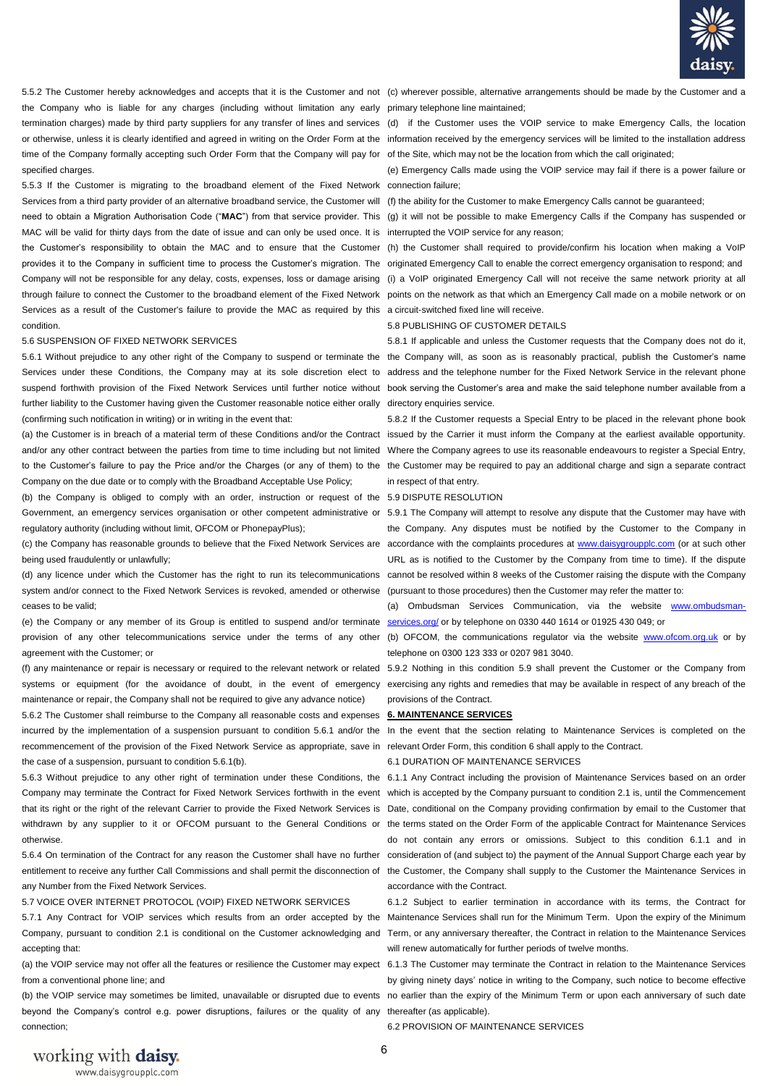

the Company who is liable for any charges (including without limitation any early primary telephone line maintained; termination charges) made by third party suppliers for any transfer of lines and services (d) if the Customer uses the VOIP service to make Emergency Calls, the location time of the Company formally accepting such Order Form that the Company will pay for of the Site, which may not be the location from which the call originated; specified charges.

5.5.3 If the Customer is migrating to the broadband element of the Fixed Network connection failure; Services from a third party provider of an alternative broadband service, the Customer will (f) the ability for the Customer to make Emergency Calls cannot be guaranteed; MAC will be valid for thirty days from the date of issue and can only be used once. It is interrupted the VOIP service for any reason; the Customer's responsibility to obtain the MAC and to ensure that the Customer (h) the Customer shall required to provide/confirm his location when making a VoIP provides it to the Company in sufficient time to process the Customer's migration. The originated Emergency Call to enable the correct emergency organisation to respond; and Company will not be responsible for any delay, costs, expenses, loss or damage arising (i) a VoIP originated Emergency Call will not receive the same network priority at all through failure to connect the Customer to the broadband element of the Fixed Network points on the network as that which an Emergency Call made on a mobile network or on Services as a result of the Customer's failure to provide the MAC as required by this a circuit-switched fixed line will receive. condition.

#### 5.6 SUSPENSION OF FIXED NETWORK SERVICES

5.6.1 Without prejudice to any other right of the Company to suspend or terminate the the Company will, as soon as is reasonably practical, publish the Customer's name Services under these Conditions, the Company may at its sole discretion elect to address and the telephone number for the Fixed Network Service in the relevant phone suspend forthwith provision of the Fixed Network Services until further notice without book serving the Customer's area and make the said telephone number available from a further liability to the Customer having given the Customer reasonable notice either orally directory enquiries service. (confirming such notification in writing) or in writing in the event that:

Company on the due date or to comply with the Broadband Acceptable Use Policy;

(b) the Company is obliged to comply with an order, instruction or request of the 5.9 DISPUTE RESOLUTION Government, an emergency services organisation or other competent administrative or 5.9.1 The Company will attempt to resolve any dispute that the Customer may have with regulatory authority (including without limit, OFCOM or PhonepayPlus);

being used fraudulently or unlawfully;

system and/or connect to the Fixed Network Services is revoked, amended or otherwise (pursuant to those procedures) then the Customer may refer the matter to: ceases to be valid;

(e) the Company or any member of its Group is entitled to suspend and/or terminate provision of any other telecommunications service under the terms of any other (b) OFCOM, the communications regulator via the website [www.ofcom.org.uk](http://www.ofcom.org.uk/) or by agreement with the Customer; or

systems or equipment (for the avoidance of doubt, in the event of emergency exercising any rights and remedies that may be available in respect of any breach of the maintenance or repair, the Company shall not be required to give any advance notice)

5.6.2 The Customer shall reimburse to the Company all reasonable costs and expenses **6. MAINTENANCE SERVICES**  recommencement of the provision of the Fixed Network Service as appropriate, save in relevant Order Form, this condition 6 shall apply to the Contract. the case of a suspension, pursuant to condition 5.6.1(b).

5.6.3 Without prejudice to any other right of termination under these Conditions, the 6.1.1 Any Contract including the provision of Maintenance Services based on an order Company may terminate the Contract for Fixed Network Services forthwith in the event which is accepted by the Company pursuant to condition 2.1 is, until the Commencement that its right or the right of the relevant Carrier to provide the Fixed Network Services is Date, conditional on the Company providing confirmation by email to the Customer that withdrawn by any supplier to it or OFCOM pursuant to the General Conditions or the terms stated on the Order Form of the applicable Contract for Maintenance Services otherwise.

entitlement to receive any further Call Commissions and shall permit the disconnection of the Customer, the Company shall supply to the Customer the Maintenance Services in any Number from the Fixed Network Services.

5.7 VOICE OVER INTERNET PROTOCOL (VOIP) FIXED NETWORK SERVICES

Company, pursuant to condition 2.1 is conditional on the Customer acknowledging and Term, or any anniversary thereafter, the Contract in relation to the Maintenance Services accepting that:

(a) the VOIP service may not offer all the features or resilience the Customer may expect 6.1.3 The Customer may terminate the Contract in relation to the Maintenance Services from a conventional phone line; and

beyond the Company's control e.g. power disruptions, failures or the quality of any thereafter (as applicable). connection;

5.5.2 The Customer hereby acknowledges and accepts that it is the Customer and not (c) wherever possible, alternative arrangements should be made by the Customer and a

or otherwise, unless it is clearly identified and agreed in writing on the Order Form at the information received by the emergency services will be limited to the installation address

(e) Emergency Calls made using the VOIP service may fail if there is a power failure or

need to obtain a Migration Authorisation Code ("MAC") from that service provider. This (g) it will not be possible to make Emergency Calls if the Company has suspended or

5.8 PUBLISHING OF CUSTOMER DETAILS

5.8.1 If applicable and unless the Customer requests that the Company does not do it,

(a) the Customer is in breach of a material term of these Conditions and/or the Contract issued by the Carrier it must inform the Company at the earliest available opportunity. and/or any other contract between the parties from time to time including but not limited Where the Company agrees to use its reasonable endeavours to register a Special Entry, to the Customer's failure to pay the Price and/or the Charges (or any of them) to the the Customer may be required to pay an additional charge and sign a separate contract 5.8.2 If the Customer requests a Special Entry to be placed in the relevant phone book in respect of that entry.

(c) the Company has reasonable grounds to believe that the Fixed Network Services are accordance with the complaints procedures at [www.daisygroupplc.com \(](http://www.daisygroupplc.com/)or at such other (d) any licence under which the Customer has the right to run its telecommunications cannot be resolved within 8 weeks of the Customer raising the dispute with the Company the Company. Any disputes must be notified by the Customer to the Company in URL as is notified to the Customer by the Company from time to time). If the dispute

> (a) Ombudsman Services Communication, via the website [www.ombudsman](http://www.ombudsman-services.org/)[services.org/](http://www.ombudsman-services.org/) or by telephone on 0330 440 1614 or 01925 430 049; or

> telephone on 0300 123 333 or 0207 981 3040.

(f) any maintenance or repair is necessary or required to the relevant network or related 5.9.2 Nothing in this condition 5.9 shall prevent the Customer or the Company from provisions of the Contract.

incurred by the implementation of a suspension pursuant to condition 5.6.1 and/or the In the event that the section relating to Maintenance Services is completed on the

6.1 DURATION OF MAINTENANCE SERVICES

5.6.4 On termination of the Contract for any reason the Customer shall have no further consideration of (and subject to) the payment of the Annual Support Charge each year by do not contain any errors or omissions. Subject to this condition 6.1.1 and in accordance with the Contract.

5.7.1 Any Contract for VOIP services which results from an order accepted by the Maintenance Services shall run for the Minimum Term. Upon the expiry of the Minimum 6.1.2 Subject to earlier termination in accordance with its terms, the Contract for will renew automatically for further periods of twelve months.

(b) the VOIP service may sometimes be limited, unavailable or disrupted due to events no earlier than the expiry of the Minimum Term or upon each anniversary of such date by giving ninety days' notice in writing to the Company, such notice to become effective

6.2 PROVISION OF MAINTENANCE SERVICES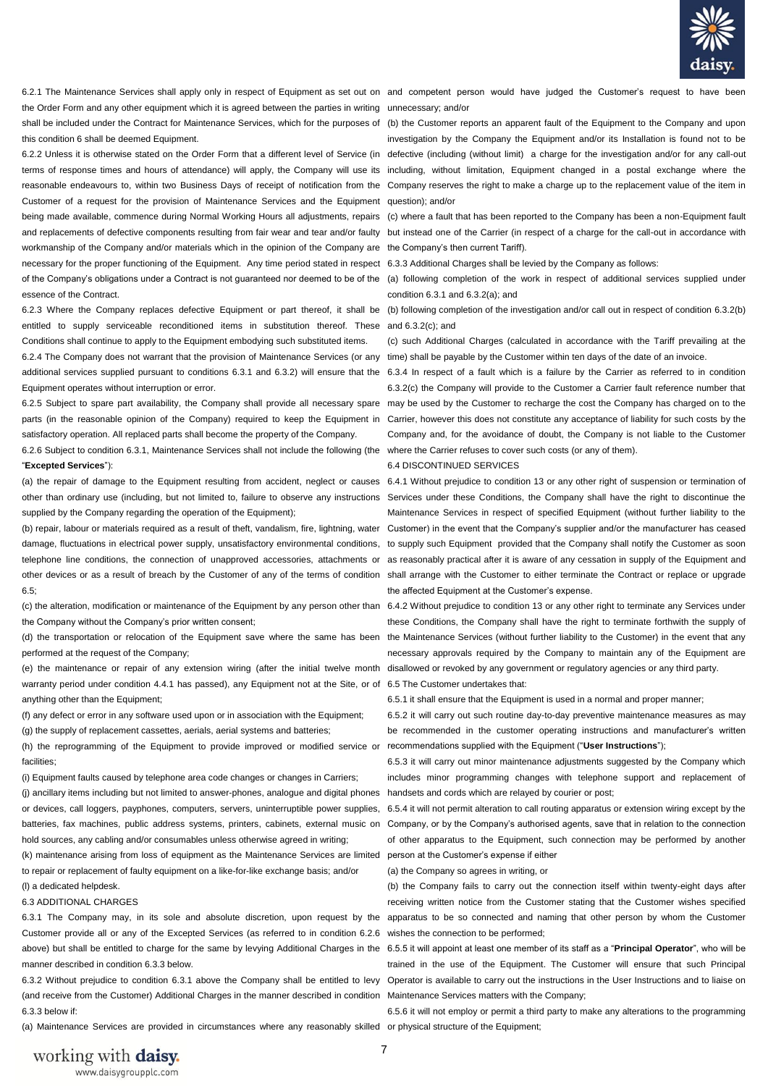

the Order Form and any other equipment which it is agreed between the parties in writing unnecessary; and/or shall be included under the Contract for Maintenance Services, which for the purposes of (b) the Customer reports an apparent fault of the Equipment to the Company and upon this condition 6 shall be deemed Equipment.

Customer of a request for the provision of Maintenance Services and the Equipment question); and/or being made available, commence during Normal Working Hours all adjustments, repairs (c) where a fault that has been reported to the Company has been a non-Equipment fault workmanship of the Company and/or materials which in the opinion of the Company are the Company's then current Tariff). necessary for the proper functioning of the Equipment. Any time period stated in respect 6.3.3 Additional Charges shall be levied by the Company as follows: of the Company's obligations under a Contract is not guaranteed nor deemed to be of the (a) following completion of the work in respect of additional services supplied under essence of the Contract.

entitled to supply serviceable reconditioned items in substitution thereof. These and 6.3.2(c); and Conditions shall continue to apply to the Equipment embodying such substituted items.

6.2.4 The Company does not warrant that the provision of Maintenance Services (or any time) shall be payable by the Customer within ten days of the date of an invoice. additional services supplied pursuant to conditions 6.3.1 and 6.3.2) will ensure that the 6.3.4 In respect of a fault which is a failure by the Carrier as referred to in condition Equipment operates without interruption or error.

parts (in the reasonable opinion of the Company) required to keep the Equipment in Carrier, however this does not constitute any acceptance of liability for such costs by the satisfactory operation. All replaced parts shall become the property of the Company.

6.2.6 Subject to condition 6.3.1, Maintenance Services shall not include the following (the where the Carrier refuses to cover such costs (or any of them). "**Excepted Services**"):

(a) the repair of damage to the Equipment resulting from accident, neglect or causes 6.4.1 Without prejudice to condition 13 or any other right of suspension or termination of other than ordinary use (including, but not limited to, failure to observe any instructions Services under these Conditions, the Company shall have the right to discontinue the supplied by the Company regarding the operation of the Equipment);

(b) repair, labour or materials required as a result of theft, vandalism, fire, lightning, water damage, fluctuations in electrical power supply, unsatisfactory environmental conditions, to supply such Equipment provided that the Company shall notify the Customer as soon telephone line conditions, the connection of unapproved accessories, attachments or as reasonably practical after it is aware of any cessation in supply of the Equipment and other devices or as a result of breach by the Customer of any of the terms of condition shall arrange with the Customer to either terminate the Contract or replace or upgrade  $6.5$ ;

the Company without the Company's prior written consent;

performed at the request of the Company;

(e) the maintenance or repair of any extension wiring (after the initial twelve month disallowed or revoked by any government or regulatory agencies or any third party. warranty period under condition 4.4.1 has passed), any Equipment not at the Site, or of 6.5 The Customer undertakes that: anything other than the Equipment:

(f) any defect or error in any software used upon or in association with the Equipment;

(g) the supply of replacement cassettes, aerials, aerial systems and batteries;

(h) the reprogramming of the Equipment to provide improved or modified service or recommendations supplied with the Equipment ("**User Instructions**"); facilities;

(i) Equipment faults caused by telephone area code changes or changes in Carriers; (j) ancillary items including but not limited to answer-phones, analogue and digital phones or devices, call loggers, payphones, computers, servers, uninterruptible power supplies, batteries, fax machines, public address systems, printers, cabinets, external music on hold sources, any cabling and/or consumables unless otherwise agreed in writing;

(k) maintenance arising from loss of equipment as the Maintenance Services are limited to repair or replacement of faulty equipment on a like-for-like exchange basis; and/or (l) a dedicated helpdesk.

#### 6.3 ADDITIONAL CHARGES

6.3.1 The Company may, in its sole and absolute discretion, upon request by the apparatus to be so connected and naming that other person by whom the Customer Customer provide all or any of the Excepted Services (as referred to in condition 6.2.6 wishes the connection to be performed; above) but shall be entitled to charge for the same by levying Additional Charges in the 6.5.5 it will appoint at least one member of its staff as a "**Principal Operator**", who will be manner described in condition 6.3.3 below.

(and receive from the Customer) Additional Charges in the manner described in condition Maintenance Services matters with the Company; 6.3.3 below if:

(a) Maintenance Services are provided in circumstances where any reasonably skilled or physical structure of the Equipment;

6.2.1 The Maintenance Services shall apply only in respect of Equipment as set out on and competent person would have judged the Customer's request to have been

6.2.2 Unless it is otherwise stated on the Order Form that a different level of Service (in defective (including (without limit) a charge for the investigation and/or for any call-out terms of response times and hours of attendance) will apply, the Company will use its including, without limitation, Equipment changed in a postal exchange where the reasonable endeavours to, within two Business Days of receipt of notification from the Company reserves the right to make a charge up to the replacement value of the item in investigation by the Company the Equipment and/or its Installation is found not to be

and replacements of defective components resulting from fair wear and tear and/or faulty but instead one of the Carrier (in respect of a charge for the call-out in accordance with

condition 6.3.1 and 6.3.2(a); and

6.2.3 Where the Company replaces defective Equipment or part thereof, it shall be (b) following completion of the investigation and/or call out in respect of condition 6.3.2(b)

(c) such Additional Charges (calculated in accordance with the Tariff prevailing at the

6.2.5 Subject to spare part availability, the Company shall provide all necessary spare may be used by the Customer to recharge the cost the Company has charged on to the 6.3.2(c) the Company will provide to the Customer a Carrier fault reference number that Company and, for the avoidance of doubt, the Company is not liable to the Customer

6.4 DISCONTINUED SERVICES

Maintenance Services in respect of specified Equipment (without further liability to the Customer) in the event that the Company's supplier and/or the manufacturer has ceased the affected Equipment at the Customer's expense.

(c) the alteration, modification or maintenance of the Equipment by any person other than 6.4.2 Without prejudice to condition 13 or any other right to terminate any Services under (d) the transportation or relocation of the Equipment save where the same has been the Maintenance Services (without further liability to the Customer) in the event that any these Conditions, the Company shall have the right to terminate forthwith the supply of necessary approvals required by the Company to maintain any of the Equipment are

6.5.1 it shall ensure that the Equipment is used in a normal and proper manner;

6.5.2 it will carry out such routine day-to-day preventive maintenance measures as may be recommended in the customer operating instructions and manufacturer's written

6.5.3 it will carry out minor maintenance adjustments suggested by the Company which includes minor programming changes with telephone support and replacement of handsets and cords which are relayed by courier or post;

6.5.4 it will not permit alteration to call routing apparatus or extension wiring except by the Company, or by the Company's authorised agents, save that in relation to the connection of other apparatus to the Equipment, such connection may be performed by another person at the Customer's expense if either

(a) the Company so agrees in writing, or

(b) the Company fails to carry out the connection itself within twenty-eight days after receiving written notice from the Customer stating that the Customer wishes specified

6.3.2 Without prejudice to condition 6.3.1 above the Company shall be entitled to levy Operator is available to carry out the instructions in the User Instructions and to liaise on trained in the use of the Equipment. The Customer will ensure that such Principal

6.5.6 it will not employ or permit a third party to make any alterations to the programming

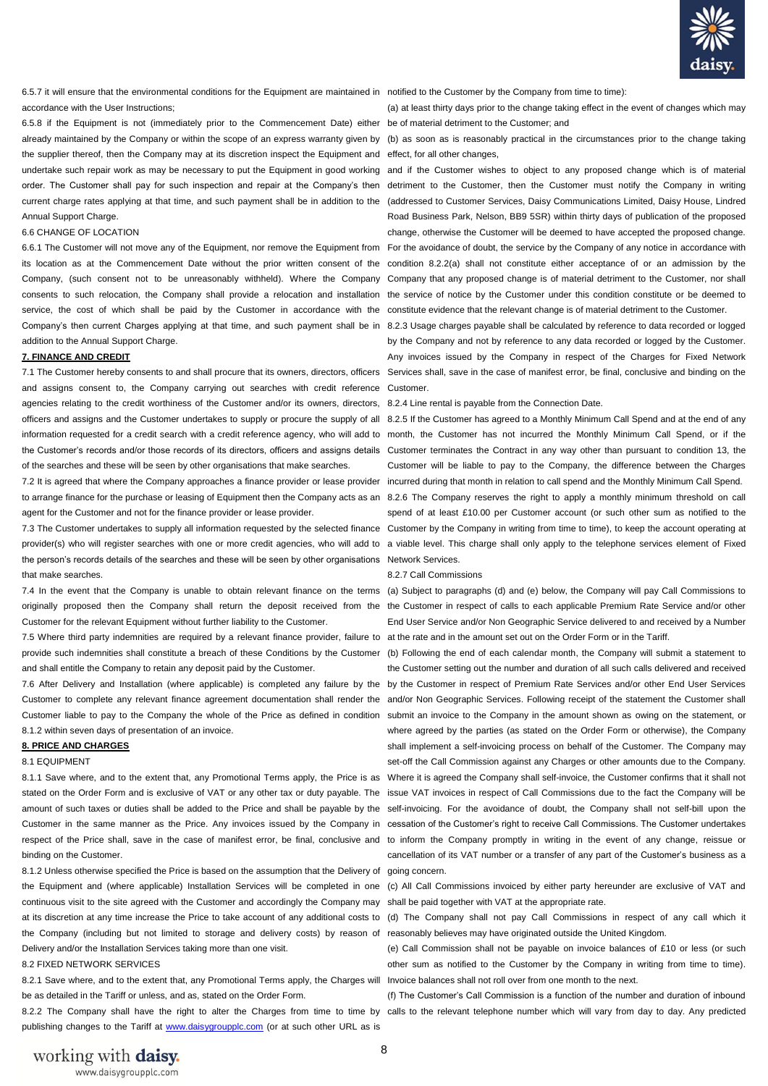

6.5.7 it will ensure that the environmental conditions for the Equipment are maintained in notified to the Customer by the Company from time to time): accordance with the User Instructions;

6.5.8 if the Equipment is not (immediately prior to the Commencement Date) either be of material detriment to the Customer; and already maintained by the Company or within the scope of an express warranty given by (b) as soon as is reasonably practical in the circumstances prior to the change taking the supplier thereof, then the Company may at its discretion inspect the Equipment and effect, for all other changes, Annual Support Charge.

### 6.6 CHANGE OF LOCATION

service, the cost of which shall be paid by the Customer in accordance with the constitute evidence that the relevant change is of material detriment to the Customer. Company's then current Charges applying at that time, and such payment shall be in 8.2.3 Usage charges payable shall be calculated by reference to data recorded or logged addition to the Annual Support Charge.

#### **7. FINANCE AND CREDIT**

and assigns consent to, the Company carrying out searches with credit reference Customer. agencies relating to the credit worthiness of the Customer and/or its owners, directors, 8.2.4 Line rental is payable from the Connection Date. officers and assigns and the Customer undertakes to supply or procure the supply of all 8.2.5 If the Customer has agreed to a Monthly Minimum Call Spend and at the end of any of the searches and these will be seen by other organisations that make searches.

7.2 It is agreed that where the Company approaches a finance provider or lease provider incurred during that month in relation to call spend and the Monthly Minimum Call Spend. to arrange finance for the purchase or leasing of Equipment then the Company acts as an 8.2.6 The Company reserves the right to apply a monthly minimum threshold on call agent for the Customer and not for the finance provider or lease provider.

provider(s) who will register searches with one or more credit agencies, who will add to a viable level. This charge shall only apply to the telephone services element of Fixed the person's records details of the searches and these will be seen by other organisations Network Services. that make searches.

originally proposed then the Company shall return the deposit received from the the Customer in respect of calls to each applicable Premium Rate Service and/or other Customer for the relevant Equipment without further liability to the Customer.

7.5 Where third party indemnities are required by a relevant finance provider, failure to at the rate and in the amount set out on the Order Form or in the Tariff. provide such indemnities shall constitute a breach of these Conditions by the Customer (b) Following the end of each calendar month, the Company will submit a statement to and shall entitle the Company to retain any deposit paid by the Customer.

8.1.2 within seven days of presentation of an invoice.

#### **8. PRICE AND CHARGES**

#### 8.1 EQUIPMENT

binding on the Customer.

8.1.2 Unless otherwise specified the Price is based on the assumption that the Delivery of going concern. the Equipment and (where applicable) Installation Services will be completed in one (c) All Call Commissions invoiced by either party hereunder are exclusive of VAT and continuous visit to the site agreed with the Customer and accordingly the Company may shall be paid together with VAT at the appropriate rate. the Company (including but not limited to storage and delivery costs) by reason of reasonably believes may have originated outside the United Kingdom. Delivery and/or the Installation Services taking more than one visit.

### 8.2 FIXED NETWORK SERVICES

8.2.1 Save where, and to the extent that, any Promotional Terms apply, the Charges will Invoice balances shall not roll over from one month to the next. be as detailed in the Tariff or unless, and as, stated on the Order Form.

publishing changes to the Tariff at [www.daisygroupplc.com](http://www.daisygroupplc.com/) (or at such other URL as is

(a) at least thirty days prior to the change taking effect in the event of changes which may

undertake such repair work as may be necessary to put the Equipment in good working and if the Customer wishes to object to any proposed change which is of material order. The Customer shall pay for such inspection and repair at the Company's then detriment to the Customer, then the Customer must notify the Company in writing current charge rates applying at that time, and such payment shall be in addition to the (addressed to Customer Services, Daisy Communications Limited, Daisy House, Lindred 6.6.1 The Customer will not move any of the Equipment, nor remove the Equipment from For the avoidance of doubt, the service by the Company of any notice in accordance with its location as at the Commencement Date without the prior written consent of the condition 8.2.2(a) shall not constitute either acceptance of or an admission by the Company, (such consent not to be unreasonably withheld). Where the Company Company that any proposed change is of material detriment to the Customer, nor shall consents to such relocation, the Company shall provide a relocation and installation the service of notice by the Customer under this condition constitute or be deemed to Road Business Park, Nelson, BB9 5SR) within thirty days of publication of the proposed change, otherwise the Customer will be deemed to have accepted the proposed change.

7.1 The Customer hereby consents to and shall procure that its owners, directors, officers Services shall, save in the case of manifest error, be final, conclusive and binding on the by the Company and not by reference to any data recorded or logged by the Customer. Any invoices issued by the Company in respect of the Charges for Fixed Network

information requested for a credit search with a credit reference agency, who will add to month, the Customer has not incurred the Monthly Minimum Call Spend, or if the the Customer's records and/or those records of its directors, officers and assigns details Customer terminates the Contract in any way other than pursuant to condition 13, the 7.3 The Customer undertakes to supply all information requested by the selected finance Customer by the Company in writing from time to time), to keep the account operating at Customer will be liable to pay to the Company, the difference between the Charges spend of at least £10.00 per Customer account (or such other sum as notified to the

#### 8.2.7 Call Commissions

7.4 In the event that the Company is unable to obtain relevant finance on the terms (a) Subject to paragraphs (d) and (e) below, the Company will pay Call Commissions to End User Service and/or Non Geographic Service delivered to and received by a Number

7.6 After Delivery and Installation (where applicable) is completed any failure by the by the Customer in respect of Premium Rate Services and/or other End User Services Customer to complete any relevant finance agreement documentation shall render the and/or Non Geographic Services. Following receipt of the statement the Customer shall Customer liable to pay to the Company the whole of the Price as defined in condition submit an invoice to the Company in the amount shown as owing on the statement, or 8.1.1 Save where, and to the extent that, any Promotional Terms apply, the Price is as Where it is agreed the Company shall self-invoice, the Customer confirms that it shall not stated on the Order Form and is exclusive of VAT or any other tax or duty payable. The issue VAT invoices in respect of Call Commissions due to the fact the Company will be amount of such taxes or duties shall be added to the Price and shall be payable by the self-invoicing. For the avoidance of doubt, the Company shall not self-bill upon the Customer in the same manner as the Price. Any invoices issued by the Company in cessation of the Customer's right to receive Call Commissions. The Customer undertakes respect of the Price shall, save in the case of manifest error, be final, conclusive and to inform the Company promptly in writing in the event of any change, reissue or the Customer setting out the number and duration of all such calls delivered and received where agreed by the parties (as stated on the Order Form or otherwise), the Company shall implement a self-invoicing process on behalf of the Customer. The Company may set-off the Call Commission against any Charges or other amounts due to the Company. cancellation of its VAT number or a transfer of any part of the Customer's business as a

at its discretion at any time increase the Price to take account of any additional costs to (d) The Company shall not pay Call Commissions in respect of any call which it

(e) Call Commission shall not be payable on invoice balances of £10 or less (or such other sum as notified to the Customer by the Company in writing from time to time).

8.2.2 The Company shall have the right to alter the Charges from time to time by calls to the relevant telephone number which will vary from day to day. Any predicted (f) The Customer's Call Commission is a function of the number and duration of inbound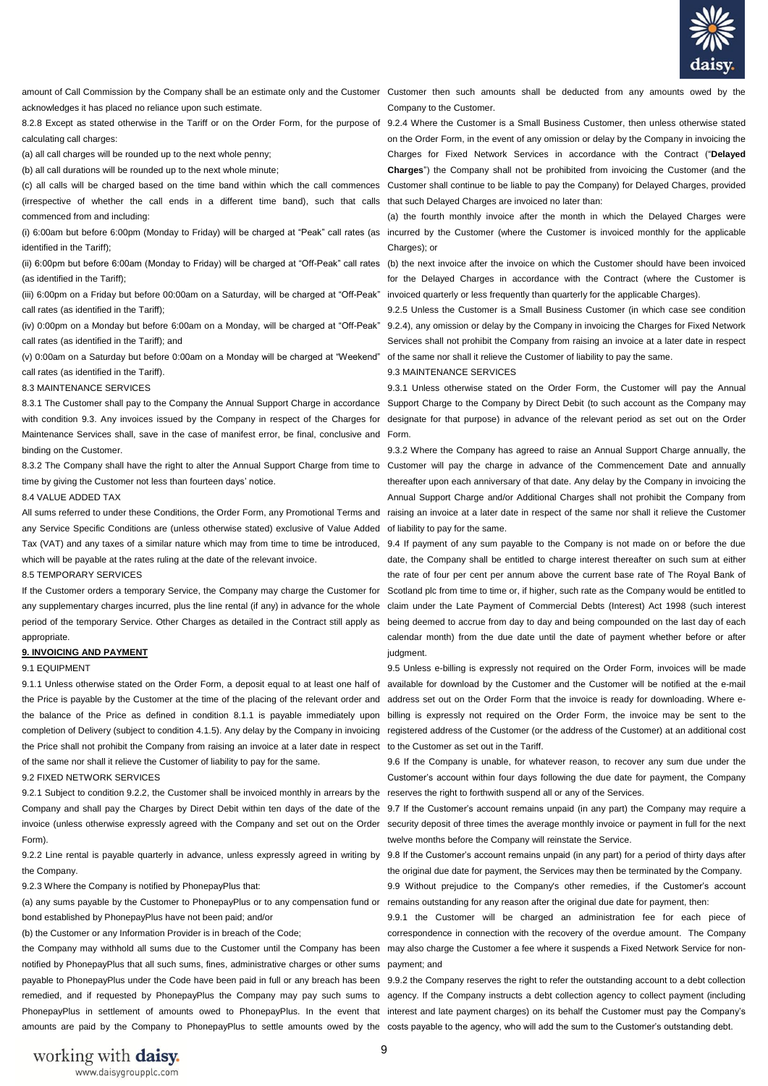

amount of Call Commission by the Company shall be an estimate only and the Customer Customer then such amounts shall be deducted from any amounts owed by the acknowledges it has placed no reliance upon such estimate.

calculating call charges:

(a) all call charges will be rounded up to the next whole penny;

(b) all call durations will be rounded up to the next whole minute;

(irrespective of whether the call ends in a different time band), such that calls that such Delayed Charges are invoiced no later than: commenced from and including:

(i) 6:00am but before 6:00pm (Monday to Friday) will be charged at "Peak" call rates (as incurred by the Customer (where the Customer is invoiced monthly for the applicable identified in the Tariff);

(ii) 6:00pm but before 6:00am (Monday to Friday) will be charged at "Off-Peak" call rates (b) the next invoice after the invoice on which the Customer should have been invoiced (as identified in the Tariff);

(iii) 6:00pm on a Friday but before 00:00am on a Saturday, will be charged at "Off-Peak" invoiced quarterly or less frequently than quarterly for the applicable Charges). call rates (as identified in the Tariff);

(iv) 0:00pm on a Monday but before 6:00am on a Monday, will be charged at "Off-Peak" call rates (as identified in the Tariff); and

(v) 0:00am on a Saturday but before 0:00am on a Monday will be charged at "Weekend" of the same nor shall it relieve the Customer of liability to pay the same. call rates (as identified in the Tariff).

#### 8.3 MAINTENANCE SERVICES

8.3.1 The Customer shall pay to the Company the Annual Support Charge in accordance Support Charge to the Company by Direct Debit (to such account as the Company may with condition 9.3. Any invoices issued by the Company in respect of the Charges for designate for that purpose) in advance of the relevant period as set out on the Order Maintenance Services shall, save in the case of manifest error, be final, conclusive and Form. binding on the Customer.

time by giving the Customer not less than fourteen days' notice.

8.4 VALUE ADDED TAX

any Service Specific Conditions are (unless otherwise stated) exclusive of Value Added of liability to pay for the same. Tax (VAT) and any taxes of a similar nature which may from time to time be introduced, 9.4 If payment of any sum payable to the Company is not made on or before the due which will be payable at the rates ruling at the date of the relevant invoice.

#### 8.5 TEMPORARY SERVICES

any supplementary charges incurred, plus the line rental (if any) in advance for the whole claim under the Late Payment of Commercial Debts (Interest) Act 1998 (such interest period of the temporary Service. Other Charges as detailed in the Contract still apply as being deemed to accrue from day to day and being compounded on the last day of each appropriate.

#### **9. INVOICING AND PAYMENT**

### 9.1 EQUIPMENT

the Price shall not prohibit the Company from raising an invoice at a later date in respect to the Customer as set out in the Tariff. of the same nor shall it relieve the Customer of liability to pay for the same.

#### 9.2 FIXED NETWORK SERVICES

9.2.1 Subject to condition 9.2.2, the Customer shall be invoiced monthly in arrears by the reserves the right to forthwith suspend all or any of the Services. Company and shall pay the Charges by Direct Debit within ten days of the date of the 9.7 If the Customer's account remains unpaid (in any part) the Company may require a invoice (unless otherwise expressly agreed with the Company and set out on the Order security deposit of three times the average monthly invoice or payment in full for the next Form).

9.2.2 Line rental is payable quarterly in advance, unless expressly agreed in writing by 9.8 If the Customer's account remains unpaid (in any part) for a period of thirty days after the Company.

9.2.3 Where the Company is notified by PhonepayPlus that:

(a) any sums payable by the Customer to PhonepayPlus or to any compensation fund or remains outstanding for any reason after the original due date for payment, then: bond established by PhonepayPlus have not been paid; and/or

(b) the Customer or any Information Provider is in breach of the Code;

notified by PhonepayPlus that all such sums, fines, administrative charges or other sums payment; and payable to PhonepayPlus under the Code have been paid in full or any breach has been 9.9.2 the Company reserves the right to refer the outstanding account to a debt collection remedied, and if requested by PhonepayPlus the Company may pay such sums to agency. If the Company instructs a debt collection agency to collect payment (including PhonepayPlus in settlement of amounts owed to PhonepayPlus. In the event that interest and late payment charges) on its behalf the Customer must pay the Company's amounts are paid by the Company to PhonepayPlus to settle amounts owed by the costs payable to the agency, who will add the sum to the Customer's outstanding debt.

Company to the Customer.

8.2.8 Except as stated otherwise in the Tariff or on the Order Form, for the purpose of 9.2.4 Where the Customer is a Small Business Customer, then unless otherwise stated (c) all calls will be charged based on the time band within which the call commences Customer shall continue to be liable to pay the Company) for Delayed Charges, provided on the Order Form, in the event of any omission or delay by the Company in invoicing the Charges for Fixed Network Services in accordance with the Contract ("**Delayed Charges**") the Company shall not be prohibited from invoicing the Customer (and the

> (a) the fourth monthly invoice after the month in which the Delayed Charges were Charges); or

> for the Delayed Charges in accordance with the Contract (where the Customer is

9.2.5 Unless the Customer is a Small Business Customer (in which case see condition 9.2.4), any omission or delay by the Company in invoicing the Charges for Fixed Network Services shall not prohibit the Company from raising an invoice at a later date in respect

### 9.3 MAINTENANCE SERVICES

9.3.1 Unless otherwise stated on the Order Form, the Customer will pay the Annual

8.3.2 The Company shall have the right to alter the Annual Support Charge from time to Customer will pay the charge in advance of the Commencement Date and annually All sums referred to under these Conditions, the Order Form, any Promotional Terms and raising an invoice at a later date in respect of the same nor shall it relieve the Customer 9.3.2 Where the Company has agreed to raise an Annual Support Charge annually, the thereafter upon each anniversary of that date. Any delay by the Company in invoicing the Annual Support Charge and/or Additional Charges shall not prohibit the Company from

If the Customer orders a temporary Service, the Company may charge the Customer for Scotland plc from time to time or, if higher, such rate as the Company would be entitled to date, the Company shall be entitled to charge interest thereafter on such sum at either the rate of four per cent per annum above the current base rate of The Royal Bank of calendar month) from the due date until the date of payment whether before or after judgment.

9.1.1 Unless otherwise stated on the Order Form, a deposit equal to at least one half of available for download by the Customer and the Customer will be notified at the e-mail the Price is payable by the Customer at the time of the placing of the relevant order and address set out on the Order Form that the invoice is ready for downloading. Where ethe balance of the Price as defined in condition 8.1.1 is payable immediately upon billing is expressly not required on the Order Form, the invoice may be sent to the completion of Delivery (subject to condition 4.1.5). Any delay by the Company in invoicing registered address of the Customer (or the address of the Customer) at an additional cost 9.5 Unless e-billing is expressly not required on the Order Form, invoices will be made

> 9.6 If the Company is unable, for whatever reason, to recover any sum due under the Customer's account within four days following the due date for payment, the Company

> twelve months before the Company will reinstate the Service.

the original due date for payment, the Services may then be terminated by the Company.

9.9 Without prejudice to the Company's other remedies, if the Customer's account

the Company may withhold all sums due to the Customer until the Company has been may also charge the Customer a fee where it suspends a Fixed Network Service for non-9.9.1 the Customer will be charged an administration fee for each piece of correspondence in connection with the recovery of the overdue amount. The Company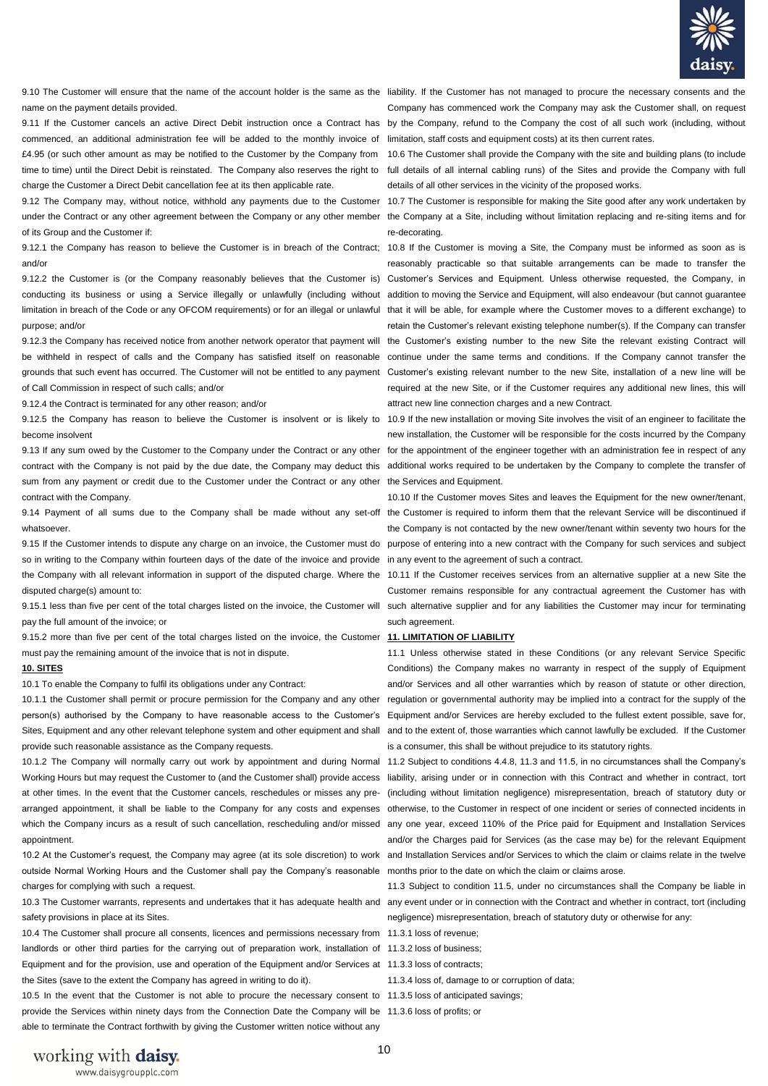

9.10 The Customer will ensure that the name of the account holder is the same as the liability. If the Customer has not managed to procure the necessary consents and the name on the payment details provided.

9.11 If the Customer cancels an active Direct Debit instruction once a Contract has commenced, an additional administration fee will be added to the monthly invoice of £4.95 (or such other amount as may be notified to the Customer by the Company from time to time) until the Direct Debit is reinstated. The Company also reserves the right to charge the Customer a Direct Debit cancellation fee at its then applicable rate.

9.12 The Company may, without notice, withhold any payments due to the Customer under the Contract or any other agreement between the Company or any other member of its Group and the Customer if:

9.12.1 the Company has reason to believe the Customer is in breach of the Contract; 10.8 If the Customer is moving a Site, the Company must be informed as soon as is and/or

purpose; and/or

9.12.3 the Company has received notice from another network operator that payment will be withheld in respect of calls and the Company has satisfied itself on reasonable grounds that such event has occurred. The Customer will not be entitled to any payment of Call Commission in respect of such calls; and/or

9.12.4 the Contract is terminated for any other reason; and/or

become insolvent

9.13 If any sum owed by the Customer to the Company under the Contract or any other contract with the Company is not paid by the due date, the Company may deduct this additional works required to be undertaken by the Company to complete the transfer of sum from any payment or credit due to the Customer under the Contract or any other contract with the Company.

9.14 Payment of all sums due to the Company shall be made without any set-off the Customer is required to inform them that the relevant Service will be discontinued if whatsoever.

9.15 If the Customer intends to dispute any charge on an invoice, the Customer must do so in writing to the Company within fourteen days of the date of the invoice and provide in any event to the agreement of such a contract. the Company with all relevant information in support of the disputed charge. Where the 10.11 If the Customer receives services from an alternative supplier at a new Site the disputed charge(s) amount to:

pay the full amount of the invoice; or

9.15.2 more than five per cent of the total charges listed on the invoice, the Customer must pay the remaining amount of the invoice that is not in dispute.

### **10. SITES**

10.1 To enable the Company to fulfil its obligations under any Contract:

10.1.1 the Customer shall permit or procure permission for the Company and any other person(s) authorised by the Company to have reasonable access to the Customer's Sites, Equipment and any other relevant telephone system and other equipment and shall provide such reasonable assistance as the Company requests.

10.1.2 The Company will normally carry out work by appointment and during Normal Working Hours but may request the Customer to (and the Customer shall) provide access at other times. In the event that the Customer cancels, reschedules or misses any prearranged appointment, it shall be liable to the Company for any costs and expenses otherwise, to the Customer in respect of one incident or series of connected incidents in which the Company incurs as a result of such cancellation, rescheduling and/or missed appointment.

outside Normal Working Hours and the Customer shall pay the Company's reasonable months prior to the date on which the claim or claims arose. charges for complying with such a request.

safety provisions in place at its Sites.

10.4 The Customer shall procure all consents, licences and permissions necessary from 11.3.1 loss of revenue; landlords or other third parties for the carrying out of preparation work, installation of 11.3.2 loss of business; Equipment and for the provision, use and operation of the Equipment and/or Services at 11.3.3 loss of contracts; the Sites (save to the extent the Company has agreed in writing to do it).

10.5 In the event that the Customer is not able to procure the necessary consent to 11.3.5 loss of anticipated savings; provide the Services within ninety days from the Connection Date the Company will be 11.3.6 loss of profits; or able to terminate the Contract forthwith by giving the Customer written notice without any

Company has commenced work the Company may ask the Customer shall, on request by the Company, refund to the Company the cost of all such work (including, without limitation, staff costs and equipment costs) at its then current rates.

10.6 The Customer shall provide the Company with the site and building plans (to include full details of all internal cabling runs) of the Sites and provide the Company with full details of all other services in the vicinity of the proposed works.

10.7 The Customer is responsible for making the Site good after any work undertaken by the Company at a Site, including without limitation replacing and re-siting items and for re-decorating.

9.12.2 the Customer is (or the Company reasonably believes that the Customer is) Customer's Services and Equipment. Unless otherwise requested, the Company, in conducting its business or using a Service illegally or unlawfully (including without addition to moving the Service and Equipment, will also endeavour (but cannot guarantee limitation in breach of the Code or any OFCOM requirements) or for an illegal or unlawful that it will be able, for example where the Customer moves to a different exchange) to reasonably practicable so that suitable arrangements can be made to transfer the retain the Customer's relevant existing telephone number(s). If the Company can transfer the Customer's existing number to the new Site the relevant existing Contract will continue under the same terms and conditions. If the Company cannot transfer the Customer's existing relevant number to the new Site, installation of a new line will be required at the new Site, or if the Customer requires any additional new lines, this will attract new line connection charges and a new Contract.

9.12.5 the Company has reason to believe the Customer is insolvent or is likely to 10.9 If the new installation or moving Site involves the visit of an engineer to facilitate the new installation, the Customer will be responsible for the costs incurred by the Company for the appointment of the engineer together with an administration fee in respect of any the Services and Equipment.

> 10.10 If the Customer moves Sites and leaves the Equipment for the new owner/tenant, the Company is not contacted by the new owner/tenant within seventy two hours for the purpose of entering into a new contract with the Company for such services and subject

9.15.1 less than five per cent of the total charges listed on the invoice, the Customer will such alternative supplier and for any liabilities the Customer may incur for terminating Customer remains responsible for any contractual agreement the Customer has with such agreement.

#### **11. LIMITATION OF LIABILITY**

11.1 Unless otherwise stated in these Conditions (or any relevant Service Specific Conditions) the Company makes no warranty in respect of the supply of Equipment and/or Services and all other warranties which by reason of statute or other direction, regulation or governmental authority may be implied into a contract for the supply of the Equipment and/or Services are hereby excluded to the fullest extent possible, save for, and to the extent of, those warranties which cannot lawfully be excluded. If the Customer is a consumer, this shall be without prejudice to its statutory rights.

10.2 At the Customer's request, the Company may agree (at its sole discretion) to work and Installation Services and/or Services to which the claim or claims relate in the twelve 11.2 Subject to conditions 4.4.8, 11.3 and 11.5, in no circumstances shall the Company's liability, arising under or in connection with this Contract and whether in contract, tort (including without limitation negligence) misrepresentation, breach of statutory duty or any one year, exceed 110% of the Price paid for Equipment and Installation Services and/or the Charges paid for Services (as the case may be) for the relevant Equipment

10.3 The Customer warrants, represents and undertakes that it has adequate health and any event under or in connection with the Contract and whether in contract, tort (including 11.3 Subject to condition 11.5, under no circumstances shall the Company be liable in negligence) misrepresentation, breach of statutory duty or otherwise for any:

- 
- 
- 
- 11.3.4 loss of, damage to or corruption of data;
- 
-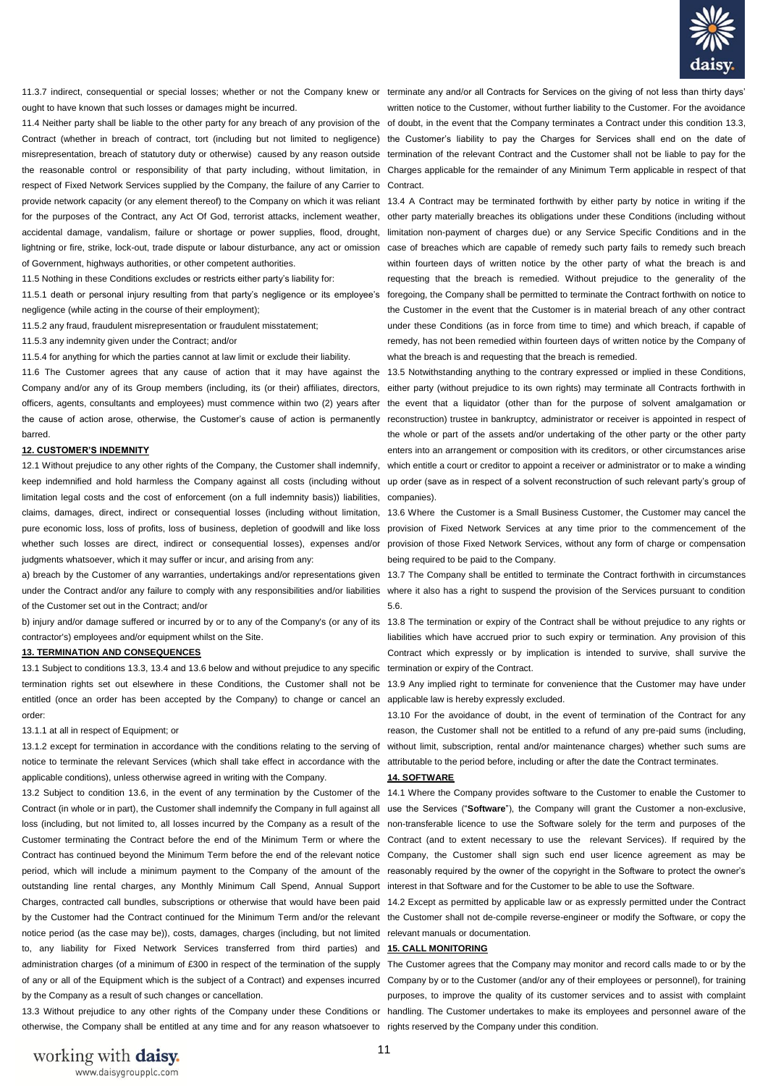

11.3.7 indirect, consequential or special losses; whether or not the Company knew or terminate any and/or all Contracts for Services on the giving of not less than thirty days' ought to have known that such losses or damages might be incurred.

respect of Fixed Network Services supplied by the Company, the failure of any Carrier to Contract. provide network capacity (or any element thereof) to the Company on which it was reliant 13.4 A Contract may be terminated forthwith by either party by notice in writing if the for the purposes of the Contract, any Act Of God, terrorist attacks, inclement weather, accidental damage, vandalism, failure or shortage or power supplies, flood, drought, of Government, highways authorities, or other competent authorities.

11.5 Nothing in these Conditions excludes or restricts either party's liability for:

negligence (while acting in the course of their employment);

11.5.2 any fraud, fraudulent misrepresentation or fraudulent misstatement;

11.5.3 any indemnity given under the Contract; and/or

11.5.4 for anything for which the parties cannot at law limit or exclude their liability.

11.6 The Customer agrees that any cause of action that it may have against the Company and/or any of its Group members (including, its (or their) affiliates, directors, officers, agents, consultants and employees) must commence within two (2) years after the event that a liquidator (other than for the purpose of solvent amalgamation or the cause of action arose, otherwise, the Customer's cause of action is permanently barred.

#### **12. CUSTOMER'S INDEMNITY**

keep indemnified and hold harmless the Company against all costs (including without up order (save as in respect of a solvent reconstruction of such relevant party's group of limitation legal costs and the cost of enforcement (on a full indemnity basis)) liabilities, companies). claims, damages, direct, indirect or consequential losses (including without limitation, 13.6 Where the Customer is a Small Business Customer, the Customer may cancel the pure economic loss, loss of profits, loss of business, depletion of goodwill and like loss provision of Fixed Network Services at any time prior to the commencement of the whether such losses are direct, indirect or consequential losses), expenses and/or provision of those Fixed Network Services, without any form of charge or compensation judgments whatsoever, which it may suffer or incur, and arising from any:

under the Contract and/or any failure to comply with any responsibilities and/or liabilities where it also has a right to suspend the provision of the Services pursuant to condition of the Customer set out in the Contract; and/or

b) injury and/or damage suffered or incurred by or to any of the Company's (or any of its 13.8 The termination or expiry of the Contract shall be without prejudice to any rights or contractor's) employees and/or equipment whilst on the Site.

### **13. TERMINATION AND CONSEQUENCES**

13.1 Subject to conditions 13.3, 13.4 and 13.6 below and without prejudice to any specific termination or expiry of the Contract. termination rights set out elsewhere in these Conditions, the Customer shall not be 13.9 Any implied right to terminate for convenience that the Customer may have under entitled (once an order has been accepted by the Company) to change or cancel an applicable law is hereby expressly excluded. order:

#### 13.1.1 at all in respect of Equipment; or

notice to terminate the relevant Services (which shall take effect in accordance with the attributable to the period before, including or after the date the Contract terminates. applicable conditions), unless otherwise agreed in writing with the Company.

Contract (in whole or in part), the Customer shall indemnify the Company in full against all use the Services ("Software"), the Company will grant the Customer a non-exclusive, loss (including, but not limited to, all losses incurred by the Company as a result of the non-transferable licence to use the Software solely for the term and purposes of the Customer terminating the Contract before the end of the Minimum Term or where the Contract (and to extent necessary to use the relevant Services). If required by the Contract has continued beyond the Minimum Term before the end of the relevant notice Company, the Customer shall sign such end user licence agreement as may be period, which will include a minimum payment to the Company of the amount of the reasonably required by the owner of the copyright in the Software to protect the owner's outstanding line rental charges, any Monthly Minimum Call Spend, Annual Support interest in that Software and for the Customer to be able to use the Software. Charges, contracted call bundles, subscriptions or otherwise that would have been paid 14.2 Except as permitted by applicable law or as expressly permitted under the Contract by the Customer had the Contract continued for the Minimum Term and/or the relevant the Customer shall not de-compile reverse-engineer or modify the Software, or copy the notice period (as the case may be)), costs, damages, charges (including, but not limited relevant manuals or documentation. to, any liability for Fixed Network Services transferred from third parties) and **15. CALL MONITORING**  administration charges (of a minimum of £300 in respect of the termination of the supply The Customer agrees that the Company may monitor and record calls made to or by the by the Company as a result of such changes or cancellation.

13.3 Without prejudice to any other rights of the Company under these Conditions or handling. The Customer undertakes to make its employees and personnel aware of the otherwise, the Company shall be entitled at any time and for any reason whatsoever to rights reserved by the Company under this condition.

11.4 Neither party shall be liable to the other party for any breach of any provision of the of doubt, in the event that the Company terminates a Contract under this condition 13.3, Contract (whether in breach of contract, tort (including but not limited to negligence) the Customer's liability to pay the Charges for Services shall end on the date of misrepresentation, breach of statutory duty or otherwise) caused by any reason outside termination of the relevant Contract and the Customer shall not be liable to pay for the the reasonable control or responsibility of that party including, without limitation, in Charges applicable for the remainder of any Minimum Term applicable in respect of that written notice to the Customer, without further liability to the Customer. For the avoidance

lightning or fire, strike, lock-out, trade dispute or labour disturbance, any act or omission case of breaches which are capable of remedy such party fails to remedy such breach 11.5.1 death or personal injury resulting from that party's negligence or its employee's foregoing, the Company shall be permitted to terminate the Contract forthwith on notice to other party materially breaches its obligations under these Conditions (including without limitation non-payment of charges due) or any Service Specific Conditions and in the within fourteen days of written notice by the other party of what the breach is and requesting that the breach is remedied. Without prejudice to the generality of the the Customer in the event that the Customer is in material breach of any other contract under these Conditions (as in force from time to time) and which breach, if capable of remedy, has not been remedied within fourteen days of written notice by the Company of what the breach is and requesting that the breach is remedied.

12.1 Without prejudice to any other rights of the Company, the Customer shall indemnify, which entitle a court or creditor to appoint a receiver or administrator or to make a winding 13.5 Notwithstanding anything to the contrary expressed or implied in these Conditions, either party (without prejudice to its own rights) may terminate all Contracts forthwith in reconstruction) trustee in bankruptcy, administrator or receiver is appointed in respect of the whole or part of the assets and/or undertaking of the other party or the other party enters into an arrangement or composition with its creditors, or other circumstances arise

being required to be paid to the Company.

a) breach by the Customer of any warranties, undertakings and/or representations given 13.7 The Company shall be entitled to terminate the Contract forthwith in circumstances 5.6.

> liabilities which have accrued prior to such expiry or termination. Any provision of this Contract which expressly or by implication is intended to survive, shall survive the

13.1.2 except for termination in accordance with the conditions relating to the serving of without limit, subscription, rental and/or maintenance charges) whether such sums are 13.10 For the avoidance of doubt, in the event of termination of the Contract for any reason, the Customer shall not be entitled to a refund of any pre-paid sums (including,

#### **14. SOFTWARE**

13.2 Subject to condition 13.6, in the event of any termination by the Customer of the 14.1 Where the Company provides software to the Customer to enable the Customer to

of any or all of the Equipment which is the subject of a Contract) and expenses incurred Company by or to the Customer (and/or any of their employees or personnel), for training purposes, to improve the quality of its customer services and to assist with complaint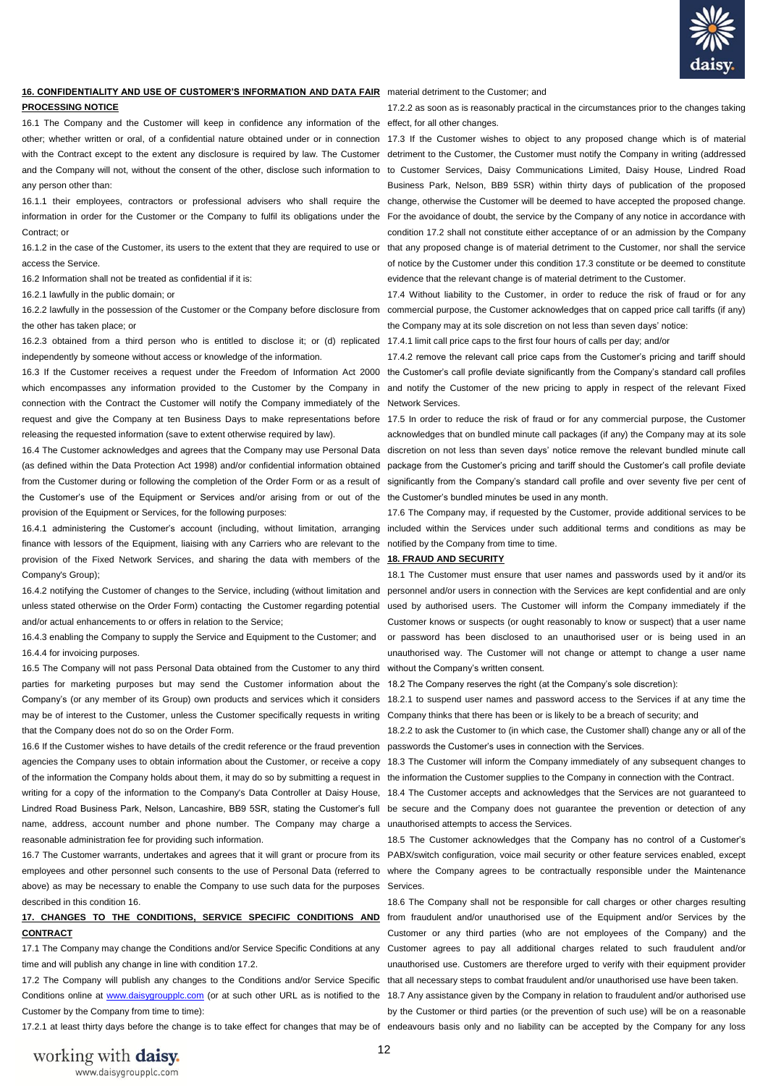

# **16. CONFIDENTIALITY AND USE OF CUSTOMER'S INFORMATION AND DATA FAIR**  material detriment to the Customer; and

**PROCESSING NOTICE** 

16.1 The Company and the Customer will keep in confidence any information of the effect, for all other changes. other; whether written or oral, of a confidential nature obtained under or in connection 17.3 If the Customer wishes to object to any proposed change which is of material with the Contract except to the extent any disclosure is required by law. The Customer detriment to the Customer, the Customer must notify the Company in writing (addressed and the Company will not, without the consent of the other, disclose such information to to Customer Services, Daisy Communications Limited, Daisy House, Lindred Road any person other than:

16.1.1 their employees, contractors or professional advisers who shall require the change, otherwise the Customer will be deemed to have accepted the proposed change. information in order for the Customer or the Company to fulfil its obligations under the For the avoidance of doubt, the service by the Company of any notice in accordance with Contract: or

16.1.2 in the case of the Customer, its users to the extent that they are required to use or that any proposed change is of material detriment to the Customer, nor shall the service access the Service.

16.2 Information shall not be treated as confidential if it is:

16.2.1 lawfully in the public domain; or

the other has taken place; or

16.2.3 obtained from a third person who is entitled to disclose it; or (d) replicated 17.4.1 limit call price caps to the first four hours of calls per day; and/or independently by someone without access or knowledge of the information.

16.3 If the Customer receives a request under the Freedom of Information Act 2000 the Customer's call profile deviate significantly from the Company's standard call profiles which encompasses any information provided to the Customer by the Company in and notify the Customer of the new pricing to apply in respect of the relevant Fixed connection with the Contract the Customer will notify the Company immediately of the Network Services. request and give the Company at ten Business Days to make representations before 17.5 In order to reduce the risk of fraud or for any commercial purpose, the Customer releasing the requested information (save to extent otherwise required by law).

(as defined within the Data Protection Act 1998) and/or confidential information obtained package from the Customer's pricing and tariff should the Customer's call profile deviate from the Customer during or following the completion of the Order Form or as a result of significantly from the Company's standard call profile and over seventy five per cent of the Customer's use of the Equipment or Services and/or arising from or out of the the Customer's bundled minutes be used in any month. provision of the Equipment or Services, for the following purposes:

finance with lessors of the Equipment, liaising with any Carriers who are relevant to the notified by the Company from time to time. provision of the Fixed Network Services, and sharing the data with members of the **18. FRAUD AND SECURITY**  Company's Group);

16.4.2 notifying the Customer of changes to the Service, including (without limitation and personnel and/or users in connection with the Services are kept confidential and are only unless stated otherwise on the Order Form) contacting the Customer regarding potential used by authorised users. The Customer will inform the Company immediately if the and/or actual enhancements to or offers in relation to the Service;

16.4.3 enabling the Company to supply the Service and Equipment to the Customer; and 16.4.4 for invoicing purposes.

16.5 The Company will not pass Personal Data obtained from the Customer to any third without the Company's written consent. parties for marketing purposes but may send the Customer information about the 18.2 The Company reserves the right (at the Company's sole discretion): may be of interest to the Customer, unless the Customer specifically requests in writing Company thinks that there has been or is likely to be a breach of security; and that the Company does not do so on the Order Form.

16.6 If the Customer wishes to have details of the credit reference or the fraud prevention passwords the Customer's uses in connection with the Services. agencies the Company uses to obtain information about the Customer, or receive a copy 18.3 The Customer will inform the Company immediately of any subsequent changes to of the information the Company holds about them, it may do so by submitting a request in the information the Customer supplies to the Company in connection with the Contract. writing for a copy of the information to the Company's Data Controller at Daisy House, 18.4 The Customer accepts and acknowledges that the Services are not guaranteed to Lindred Road Business Park, Nelson, Lancashire, BB9 5SR, stating the Customer's full be secure and the Company does not guarantee the prevention or detection of any name, address, account number and phone number. The Company may charge a unauthorised attempts to access the Services. reasonable administration fee for providing such information.

above) as may be necessary to enable the Company to use such data for the purposes Services. described in this condition 16.

# **CONTRACT**

time and will publish any change in line with condition 17.2.

Conditions online at [www.daisygroupplc.com](http://www.daisygroupplc.com/) (or at such other URL as is notified to the 18.7 Any assistance given by the Company in relation to fraudulent and/or authorised use Customer by the Company from time to time):

17.2.1 at least thirty days before the change is to take effect for changes that may be of endeavours basis only and no liability can be accepted by the Company for any loss

17.2.2 as soon as is reasonably practical in the circumstances prior to the changes taking

Business Park, Nelson, BB9 5SR) within thirty days of publication of the proposed condition 17.2 shall not constitute either acceptance of or an admission by the Company of notice by the Customer under this condition 17.3 constitute or be deemed to constitute evidence that the relevant change is of material detriment to the Customer.

16.2.2 lawfully in the possession of the Customer or the Company before disclosure from commercial purpose, the Customer acknowledges that on capped price call tariffs (if any) 17.4 Without liability to the Customer, in order to reduce the risk of fraud or for any the Company may at its sole discretion on not less than seven days' notice:

17.4.2 remove the relevant call price caps from the Customer's pricing and tariff should

16.4 The Customer acknowledges and agrees that the Company may use Personal Data discretion on not less than seven days' notice remove the relevant bundled minute call acknowledges that on bundled minute call packages (if any) the Company may at its sole

16.4.1 administering the Customer's account (including, without limitation, arranging included within the Services under such additional terms and conditions as may be 17.6 The Company may, if requested by the Customer, provide additional services to be

18.1 The Customer must ensure that user names and passwords used by it and/or its Customer knows or suspects (or ought reasonably to know or suspect) that a user name or password has been disclosed to an unauthorised user or is being used in an unauthorised way. The Customer will not change or attempt to change a user name

Company's (or any member of its Group) own products and services which it considers 18.2.1 to suspend user names and password access to the Services if at any time the

18.2.2 to ask the Customer to (in which case, the Customer shall) change any or all of the

16.7 The Customer warrants, undertakes and agrees that it will grant or procure from its PABX/switch configuration, voice mail security or other feature services enabled, except employees and other personnel such consents to the use of Personal Data (referred to where the Company agrees to be contractually responsible under the Maintenance 18.5 The Customer acknowledges that the Company has no control of a Customer's

17. CHANGES TO THE CONDITIONS, SERVICE SPECIFIC CONDITIONS AND from fraudulent and/or unauthorised use of the Equipment and/or Services by the 17.1 The Company may change the Conditions and/or Service Specific Conditions at any Customer agrees to pay all additional charges related to such fraudulent and/or 17.2 The Company will publish any changes to the Conditions and/or Service Specific that all necessary steps to combat fraudulent and/or unauthorised use have been taken. 18.6 The Company shall not be responsible for call charges or other charges resulting Customer or any third parties (who are not employees of the Company) and the unauthorised use. Customers are therefore urged to verify with their equipment provider

by the Customer or third parties (or the prevention of such use) will be on a reasonable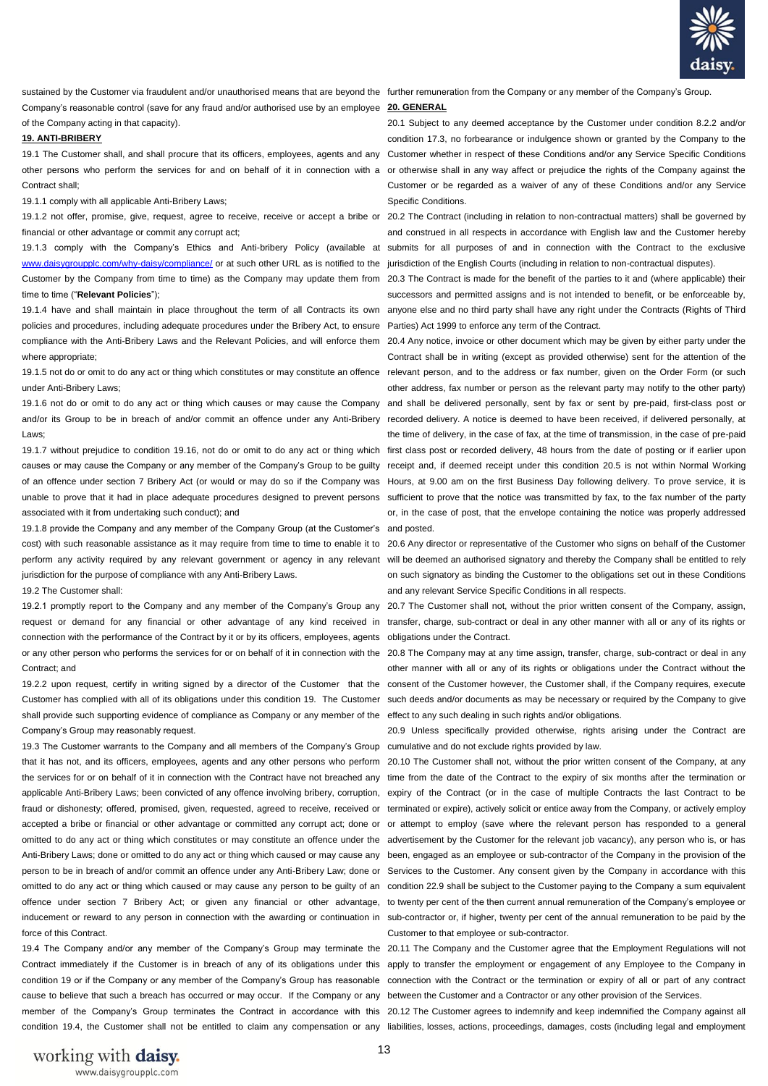

Company's reasonable control (save for any fraud and/or authorised use by an employee **20. GENERAL**  of the Company acting in that capacity).

### **19. ANTI-BRIBERY**

19.1 The Customer shall, and shall procure that its officers, employees, agents and any Customer whether in respect of these Conditions and/or any Service Specific Conditions other persons who perform the services for and on behalf of it in connection with a or otherwise shall in any way affect or prejudice the rights of the Company against the Contract shall:

19.1.1 comply with all applicable Anti-Bribery Laws;

financial or other advantage or commit any corrupt act;

[www.daisygroupplc.com/why-daisy/compliance/](http://www.daisygroupplc.com/why-daisy/compliance/) or at such other URL as is notified to the jurisdiction of the English Courts (including in relation to non-contractual disputes). time to time ("**Relevant Policies**");

policies and procedures, including adequate procedures under the Bribery Act, to ensure Parties) Act 1999 to enforce any term of the Contract. compliance with the Anti-Bribery Laws and the Relevant Policies, and will enforce them 20.4 Any notice, invoice or other document which may be given by either party under the where appropriate:

under Anti-Bribery Laws;

Laws;

associated with it from undertaking such conduct); and

19.1.8 provide the Company and any member of the Company Group (at the Customer's and posted. cost) with such reasonable assistance as it may require from time to time to enable it to 20.6 Any director or representative of the Customer who signs on behalf of the Customer jurisdiction for the purpose of compliance with any Anti-Bribery Laws.

19.2 The Customer shall:

connection with the performance of the Contract by it or by its officers, employees, agents obligations under the Contract. Contract; and

shall provide such supporting evidence of compliance as Company or any member of the effect to any such dealing in such rights and/or obligations. Company's Group may reasonably request.

19.3 The Customer warrants to the Company and all members of the Company's Group cumulative and do not exclude rights provided by law. that it has not, and its officers, employees, agents and any other persons who perform 20.10 The Customer shall not, without the prior written consent of the Company, at any the services for or on behalf of it in connection with the Contract have not breached any time from the date of the Contract to the expiry of six months after the termination or applicable Anti-Bribery Laws; been convicted of any offence involving bribery, corruption, expiry of the Contract (or in the case of multiple Contracts the last Contract to be fraud or dishonesty; offered, promised, given, requested, agreed to receive, received or terminated or expire), actively solicit or entice away from the Company, or actively employ accepted a bribe or financial or other advantage or committed any corrupt act; done or or attempt to employ (save where the relevant person has responded to a general omitted to do any act or thing which constitutes or may constitute an offence under the advertisement by the Customer for the relevant job vacancy), any person who is, or has Anti-Bribery Laws; done or omitted to do any act or thing which caused or may cause any been, engaged as an employee or sub-contractor of the Company in the provision of the person to be in breach of and/or commit an offence under any Anti-Bribery Law; done or Services to the Customer. Any consent given by the Company in accordance with this omitted to do any act or thing which caused or may cause any person to be guilty of an condition 22.9 shall be subject to the Customer paying to the Company a sum equivalent offence under section 7 Bribery Act; or given any financial or other advantage, to twenty per cent of the then current annual remuneration of the Company's employee or inducement or reward to any person in connection with the awarding or continuation in sub-contractor or, if higher, twenty per cent of the annual remuneration to be paid by the force of this Contract.

19.4 The Company and/or any member of the Company's Group may terminate the 20.11 The Company and the Customer agree that the Employment Regulations will not cause to believe that such a breach has occurred or may occur. If the Company or any between the Customer and a Contractor or any other provision of the Services.

sustained by the Customer via fraudulent and/or unauthorised means that are beyond the further remuneration from the Company or any member of the Company's Group.

20.1 Subject to any deemed acceptance by the Customer under condition 8.2.2 and/or condition 17.3, no forbearance or indulgence shown or granted by the Company to the Customer or be regarded as a waiver of any of these Conditions and/or any Service Specific Conditions.

19.1.2 not offer, promise, give, request, agree to receive, receive or accept a bribe or 20.2 The Contract (including in relation to non-contractual matters) shall be governed by 19.1.3 comply with the Company's Ethics and Anti-bribery Policy (available at submits for all purposes of and in connection with the Contract to the exclusive and construed in all respects in accordance with English law and the Customer hereby

Customer by the Company from time to time) as the Company may update them from 20.3 The Contract is made for the benefit of the parties to it and (where applicable) their 19.1.4 have and shall maintain in place throughout the term of all Contracts its own anyone else and no third party shall have any right under the Contracts (Rights of Third successors and permitted assigns and is not intended to benefit, or be enforceable by,

19.1.5 not do or omit to do any act or thing which constitutes or may constitute an offence relevant person, and to the address or fax number, given on the Order Form (or such 19.1.6 not do or omit to do any act or thing which causes or may cause the Company and shall be delivered personally, sent by fax or sent by pre-paid, first-class post or and/or its Group to be in breach of and/or commit an offence under any Anti-Bribery recorded delivery. A notice is deemed to have been received, if delivered personally, at 19.1.7 without prejudice to condition 19.16, not do or omit to do any act or thing which first class post or recorded delivery, 48 hours from the date of posting or if earlier upon causes or may cause the Company or any member of the Company's Group to be guilty receipt and, if deemed receipt under this condition 20.5 is not within Normal Working of an offence under section 7 Bribery Act (or would or may do so if the Company was Hours, at 9.00 am on the first Business Day following delivery. To prove service, it is unable to prove that it had in place adequate procedures designed to prevent persons sufficient to prove that the notice was transmitted by fax, to the fax number of the party Contract shall be in writing (except as provided otherwise) sent for the attention of the other address, fax number or person as the relevant party may notify to the other party) the time of delivery, in the case of fax, at the time of transmission, in the case of pre-paid or, in the case of post, that the envelope containing the notice was properly addressed

perform any activity required by any relevant government or agency in any relevant will be deemed an authorised signatory and thereby the Company shall be entitled to rely on such signatory as binding the Customer to the obligations set out in these Conditions and any relevant Service Specific Conditions in all respects.

19.2.1 promptly report to the Company and any member of the Company's Group any 20.7 The Customer shall not, without the prior written consent of the Company, assign, request or demand for any financial or other advantage of any kind received in transfer, charge, sub-contract or deal in any other manner with all or any of its rights or

or any other person who performs the services for or on behalf of it in connection with the 20.8 The Company may at any time assign, transfer, charge, sub-contract or deal in any 19.2.2 upon request, certify in writing signed by a director of the Customer that the consent of the Customer however, the Customer shall, if the Company requires, execute Customer has complied with all of its obligations under this condition 19. The Customer such deeds and/or documents as may be necessary or required by the Company to give other manner with all or any of its rights or obligations under the Contract without the

20.9 Unless specifically provided otherwise, rights arising under the Contract are

Customer to that employee or sub-contractor.

Contract immediately if the Customer is in breach of any of its obligations under this apply to transfer the employment or engagement of any Employee to the Company in condition 19 or if the Company or any member of the Company's Group has reasonable connection with the Contract or the termination or expiry of all or part of any contract

member of the Company's Group terminates the Contract in accordance with this 20.12 The Customer agrees to indemnify and keep indemnified the Company against all condition 19.4, the Customer shall not be entitled to claim any compensation or any liabilities, losses, actions, proceedings, damages, costs (including legal and employment